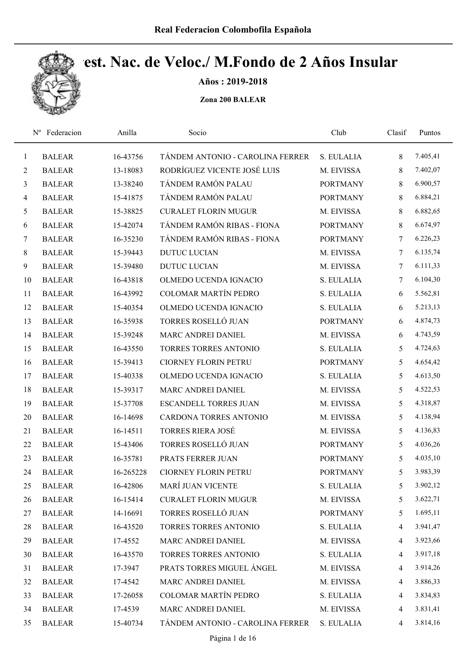

Años : 2019-2018

| $N^{\rm o}$    | Federacion    | Anilla    | Socio                            | Club            | Clasif          | Puntos   |
|----------------|---------------|-----------|----------------------------------|-----------------|-----------------|----------|
| $\mathbf{1}$   | <b>BALEAR</b> | 16-43756  | TÁNDEM ANTONIO - CAROLINA FERRER | S. EULALIA      | 8               | 7.405,41 |
| $\overline{2}$ | <b>BALEAR</b> | 13-18083  | RODRÍGUEZ VICENTE JOSÉ LUIS      | M. EIVISSA      | 8               | 7.402,07 |
| 3              | <b>BALEAR</b> | 13-38240  | TÁNDEM RAMÓN PALAU               | <b>PORTMANY</b> | 8               | 6.900,57 |
| $\overline{4}$ | <b>BALEAR</b> | 15-41875  | TÁNDEM RAMÓN PALAU               | <b>PORTMANY</b> | 8               | 6.884,21 |
| $\mathfrak{H}$ | <b>BALEAR</b> | 15-38825  | <b>CURALET FLORIN MUGUR</b>      | M. EIVISSA      | 8               | 6.882,65 |
| 6              | <b>BALEAR</b> | 15-42074  | TÁNDEM RAMÓN RIBAS - FIONA       | <b>PORTMANY</b> | 8               | 6.674,97 |
| $\tau$         | <b>BALEAR</b> | 16-35230  | TÁNDEM RAMÓN RIBAS - FIONA       | <b>PORTMANY</b> | $7\phantom{.0}$ | 6.226,23 |
| $8\,$          | <b>BALEAR</b> | 15-39443  | <b>DUTUC LUCIAN</b>              | M. EIVISSA      | 7               | 6.135,74 |
| 9              | <b>BALEAR</b> | 15-39480  | <b>DUTUC LUCIAN</b>              | M. EIVISSA      | $\tau$          | 6.111,33 |
| 10             | <b>BALEAR</b> | 16-43818  | OLMEDO UCENDA IGNACIO            | S. EULALIA      | 7               | 6.104,30 |
| 11             | <b>BALEAR</b> | 16-43992  | <b>COLOMAR MARTÍN PEDRO</b>      | S. EULALIA      | 6               | 5.562,81 |
| 12             | <b>BALEAR</b> | 15-40354  | OLMEDO UCENDA IGNACIO            | S. EULALIA      | 6               | 5.213,13 |
| 13             | <b>BALEAR</b> | 16-35938  | TORRES ROSELLÓ JUAN              | <b>PORTMANY</b> | 6               | 4.874,73 |
| 14             | <b>BALEAR</b> | 15-39248  | MARC ANDREI DANIEL               | M. EIVISSA      | 6               | 4.743,59 |
| 15             | <b>BALEAR</b> | 16-43550  | <b>TORRES TORRES ANTONIO</b>     | S. EULALIA      | 5               | 4.724,63 |
| 16             | <b>BALEAR</b> | 15-39413  | <b>CIORNEY FLORIN PETRU</b>      | <b>PORTMANY</b> | 5               | 4.654,42 |
| 17             | <b>BALEAR</b> | 15-40338  | OLMEDO UCENDA IGNACIO            | S. EULALIA      | 5               | 4.613,50 |
| 18             | <b>BALEAR</b> | 15-39317  | MARC ANDREI DANIEL               | M. EIVISSA      | 5               | 4.522,53 |
| 19             | <b>BALEAR</b> | 15-37708  | <b>ESCANDELL TORRES JUAN</b>     | M. EIVISSA      | 5               | 4.318,87 |
| 20             | <b>BALEAR</b> | 16-14698  | CARDONA TORRES ANTONIO           | M. EIVISSA      | 5               | 4.138,94 |
| 21             | <b>BALEAR</b> | 16-14511  | <b>TORRES RIERA JOSÉ</b>         | M. EIVISSA      | 5               | 4.136,83 |
| 22             | <b>BALEAR</b> | 15-43406  | TORRES ROSELLÓ JUAN              | <b>PORTMANY</b> | 5               | 4.036,26 |
| 23             | <b>BALEAR</b> | 16-35781  | PRATS FERRER JUAN                | <b>PORTMANY</b> | 5               | 4.035,10 |
| 24             | <b>BALEAR</b> | 16-265228 | <b>CIORNEY FLORIN PETRU</b>      | <b>PORTMANY</b> | 5               | 3.983,39 |
| 25             | <b>BALEAR</b> | 16-42806  | MARÍ JUAN VICENTE                | S. EULALIA      | 5               | 3.902,12 |
| 26             | <b>BALEAR</b> | 16-15414  | <b>CURALET FLORIN MUGUR</b>      | M. EIVISSA      | 5               | 3.622,71 |
| 27             | <b>BALEAR</b> | 14-16691  | TORRES ROSELLÓ JUAN              | <b>PORTMANY</b> | 5               | 1.695,11 |
| 28             | <b>BALEAR</b> | 16-43520  | TORRES TORRES ANTONIO            | S. EULALIA      | $\overline{4}$  | 3.941,47 |
| 29             | <b>BALEAR</b> | 17-4552   | MARC ANDREI DANIEL               | M. EIVISSA      | $\overline{4}$  | 3.923,66 |
| 30             | <b>BALEAR</b> | 16-43570  | TORRES TORRES ANTONIO            | S. EULALIA      | $\overline{4}$  | 3.917,18 |
| 31             | <b>BALEAR</b> | 17-3947   | PRATS TORRES MIGUEL ÁNGEL        | M. EIVISSA      | 4               | 3.914,26 |
| 32             | <b>BALEAR</b> | 17-4542   | MARC ANDREI DANIEL               | M. EIVISSA      | $\overline{4}$  | 3.886,33 |
| 33             | <b>BALEAR</b> | 17-26058  | COLOMAR MARTÍN PEDRO             | S. EULALIA      | $\overline{4}$  | 3.834,83 |
| 34             | <b>BALEAR</b> | 17-4539   | MARC ANDREI DANIEL               | M. EIVISSA      | $\overline{4}$  | 3.831,41 |
| 35             | <b>BALEAR</b> | 15-40734  | TÁNDEM ANTONIO - CAROLINA FERRER | S. EULALIA      | 4               | 3.814,16 |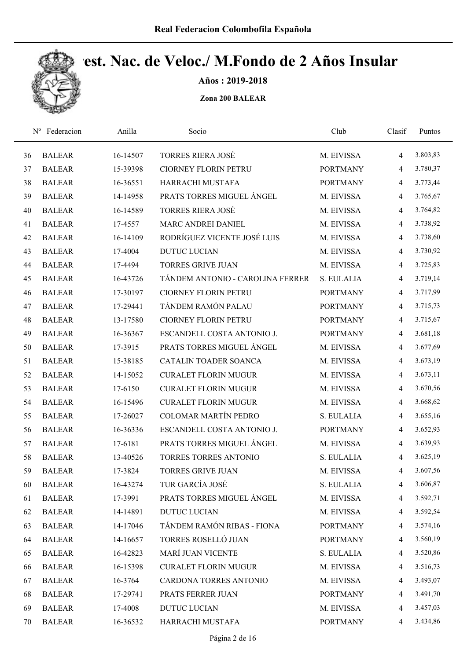

Años : 2019-2018

|    | Federacion<br>$N^{\rm o}$ | Anilla   | Socio                            | Club            | Clasif         | Puntos   |
|----|---------------------------|----------|----------------------------------|-----------------|----------------|----------|
| 36 | <b>BALEAR</b>             | 16-14507 | <b>TORRES RIERA JOSÉ</b>         | M. EIVISSA      | $\overline{4}$ | 3.803,83 |
| 37 | <b>BALEAR</b>             | 15-39398 | <b>CIORNEY FLORIN PETRU</b>      | <b>PORTMANY</b> | $\overline{4}$ | 3.780,37 |
| 38 | <b>BALEAR</b>             | 16-36551 | HARRACHI MUSTAFA                 | <b>PORTMANY</b> | $\overline{4}$ | 3.773,44 |
| 39 | <b>BALEAR</b>             | 14-14958 | PRATS TORRES MIGUEL ANGEL        | M. EIVISSA      | $\overline{4}$ | 3.765,67 |
| 40 | <b>BALEAR</b>             | 16-14589 | <b>TORRES RIERA JOSÉ</b>         | M. EIVISSA      | $\overline{4}$ | 3.764,82 |
| 41 | <b>BALEAR</b>             | 17-4557  | MARC ANDREI DANIEL               | M. EIVISSA      | $\overline{4}$ | 3.738,92 |
| 42 | <b>BALEAR</b>             | 16-14109 | RODRÍGUEZ VICENTE JOSÉ LUIS      | M. EIVISSA      | $\overline{4}$ | 3.738,60 |
| 43 | <b>BALEAR</b>             | 17-4004  | <b>DUTUC LUCIAN</b>              | M. EIVISSA      | $\overline{4}$ | 3.730,92 |
| 44 | <b>BALEAR</b>             | 17-4494  | <b>TORRES GRIVE JUAN</b>         | M. EIVISSA      | $\overline{4}$ | 3.725,83 |
| 45 | <b>BALEAR</b>             | 16-43726 | TÁNDEM ANTONIO - CAROLINA FERRER | S. EULALIA      | $\overline{4}$ | 3.719,14 |
| 46 | <b>BALEAR</b>             | 17-30197 | <b>CIORNEY FLORIN PETRU</b>      | <b>PORTMANY</b> | $\overline{4}$ | 3.717,99 |
| 47 | <b>BALEAR</b>             | 17-29441 | TÁNDEM RAMÓN PALAU               | <b>PORTMANY</b> | $\overline{4}$ | 3.715,73 |
| 48 | <b>BALEAR</b>             | 13-17580 | <b>CIORNEY FLORIN PETRU</b>      | <b>PORTMANY</b> | $\overline{4}$ | 3.715,67 |
| 49 | <b>BALEAR</b>             | 16-36367 | ESCANDELL COSTA ANTONIO J.       | <b>PORTMANY</b> | $\overline{4}$ | 3.681,18 |
| 50 | <b>BALEAR</b>             | 17-3915  | PRATS TORRES MIGUEL ÁNGEL        | M. EIVISSA      | $\overline{4}$ | 3.677,69 |
| 51 | <b>BALEAR</b>             | 15-38185 | CATALIN TOADER SOANCA            | M. EIVISSA      | $\overline{4}$ | 3.673,19 |
| 52 | <b>BALEAR</b>             | 14-15052 | <b>CURALET FLORIN MUGUR</b>      | M. EIVISSA      | $\overline{4}$ | 3.673,11 |
| 53 | <b>BALEAR</b>             | 17-6150  | <b>CURALET FLORIN MUGUR</b>      | M. EIVISSA      | $\overline{4}$ | 3.670,56 |
| 54 | <b>BALEAR</b>             | 16-15496 | <b>CURALET FLORIN MUGUR</b>      | M. EIVISSA      | $\overline{4}$ | 3.668,62 |
| 55 | <b>BALEAR</b>             | 17-26027 | <b>COLOMAR MARTÍN PEDRO</b>      | S. EULALIA      | $\overline{4}$ | 3.655,16 |
| 56 | <b>BALEAR</b>             | 16-36336 | ESCANDELL COSTA ANTONIO J.       | <b>PORTMANY</b> | $\overline{4}$ | 3.652,93 |
| 57 | <b>BALEAR</b>             | 17-6181  | PRATS TORRES MIGUEL ÁNGEL        | M. EIVISSA      | $\overline{4}$ | 3.639,93 |
| 58 | <b>BALEAR</b>             | 13-40526 | <b>TORRES TORRES ANTONIO</b>     | S. EULALIA      | $\overline{4}$ | 3.625,19 |
| 59 | <b>BALEAR</b>             | 17-3824  | <b>TORRES GRIVE JUAN</b>         | M. EIVISSA      | $\overline{4}$ | 3.607,56 |
| 60 | <b>BALEAR</b>             | 16-43274 | TUR GARCÍA JOSÉ                  | S. EULALIA      | 4              | 3.606,87 |
| 61 | <b>BALEAR</b>             | 17-3991  | PRATS TORRES MIGUEL ÁNGEL        | M. EIVISSA      | 4              | 3.592,71 |
| 62 | <b>BALEAR</b>             | 14-14891 | <b>DUTUC LUCIAN</b>              | M. EIVISSA      | $\overline{4}$ | 3.592,54 |
| 63 | <b>BALEAR</b>             | 14-17046 | TÁNDEM RAMÓN RIBAS - FIONA       | <b>PORTMANY</b> | $\overline{4}$ | 3.574,16 |
| 64 | <b>BALEAR</b>             | 14-16657 | TORRES ROSELLÓ JUAN              | <b>PORTMANY</b> | $\overline{4}$ | 3.560,19 |
| 65 | <b>BALEAR</b>             | 16-42823 | <b>MARÍ JUAN VICENTE</b>         | S. EULALIA      | $\overline{4}$ | 3.520,86 |
| 66 | <b>BALEAR</b>             | 16-15398 | <b>CURALET FLORIN MUGUR</b>      | M. EIVISSA      | $\overline{4}$ | 3.516,73 |
| 67 | <b>BALEAR</b>             | 16-3764  | CARDONA TORRES ANTONIO           | M. EIVISSA      | $\overline{4}$ | 3.493,07 |
| 68 | <b>BALEAR</b>             | 17-29741 | PRATS FERRER JUAN                | <b>PORTMANY</b> | $\overline{4}$ | 3.491,70 |
| 69 | <b>BALEAR</b>             | 17-4008  | <b>DUTUC LUCIAN</b>              | M. EIVISSA      | $\overline{4}$ | 3.457,03 |
| 70 | <b>BALEAR</b>             | 16-36532 | HARRACHI MUSTAFA                 | <b>PORTMANY</b> | 4              | 3.434,86 |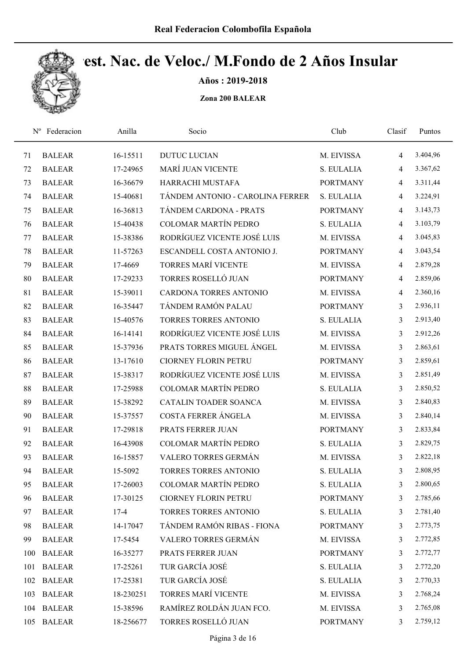

Años : 2019-2018

| $N^{\rm o}$ | Federacion    | Anilla    | Socio                            | Club            | Clasif         | Puntos   |
|-------------|---------------|-----------|----------------------------------|-----------------|----------------|----------|
| 71          | <b>BALEAR</b> | 16-15511  | <b>DUTUC LUCIAN</b>              | M. EIVISSA      | $\overline{4}$ | 3.404,96 |
| 72          | <b>BALEAR</b> | 17-24965  | MARÍ JUAN VICENTE                | S. EULALIA      | 4              | 3.367,62 |
| 73          | <b>BALEAR</b> | 16-36679  | HARRACHI MUSTAFA                 | <b>PORTMANY</b> | 4              | 3.311,44 |
| 74          | <b>BALEAR</b> | 15-40681  | TÁNDEM ANTONIO - CAROLINA FERRER | S. EULALIA      | $\overline{4}$ | 3.224,91 |
| 75          | <b>BALEAR</b> | 16-36813  | TÁNDEM CARDONA - PRATS           | <b>PORTMANY</b> | 4              | 3.143,73 |
| 76          | <b>BALEAR</b> | 15-40438  | <b>COLOMAR MARTÍN PEDRO</b>      | S. EULALIA      | 4              | 3.103,79 |
| 77          | <b>BALEAR</b> | 15-38386  | RODRÍGUEZ VICENTE JOSÉ LUIS      | M. EIVISSA      | $\overline{4}$ | 3.045,83 |
| 78          | <b>BALEAR</b> | 11-57263  | ESCANDELL COSTA ANTONIO J.       | <b>PORTMANY</b> | $\overline{4}$ | 3.043,54 |
| 79          | <b>BALEAR</b> | 17-4669   | <b>TORRES MARÍ VICENTE</b>       | M. EIVISSA      | $\overline{4}$ | 2.879,28 |
| 80          | <b>BALEAR</b> | 17-29233  | TORRES ROSELLÓ JUAN              | <b>PORTMANY</b> | $\overline{4}$ | 2.859,06 |
| 81          | <b>BALEAR</b> | 15-39011  | <b>CARDONA TORRES ANTONIO</b>    | M. EIVISSA      | $\overline{4}$ | 2.360,16 |
| 82          | <b>BALEAR</b> | 16-35447  | TÁNDEM RAMÓN PALAU               | <b>PORTMANY</b> | 3              | 2.936,11 |
| 83          | <b>BALEAR</b> | 15-40576  | <b>TORRES TORRES ANTONIO</b>     | S. EULALIA      | 3              | 2.913,40 |
| 84          | <b>BALEAR</b> | 16-14141  | RODRÍGUEZ VICENTE JOSÉ LUIS      | M. EIVISSA      | 3              | 2.912,26 |
| 85          | <b>BALEAR</b> | 15-37936  | PRATS TORRES MIGUEL ÁNGEL        | M. EIVISSA      | 3              | 2.863,61 |
| 86          | <b>BALEAR</b> | 13-17610  | <b>CIORNEY FLORIN PETRU</b>      | <b>PORTMANY</b> | 3              | 2.859,61 |
| 87          | <b>BALEAR</b> | 15-38317  | RODRÍGUEZ VICENTE JOSÉ LUIS      | M. EIVISSA      | $\mathfrak{Z}$ | 2.851,49 |
| 88          | <b>BALEAR</b> | 17-25988  | <b>COLOMAR MARTÍN PEDRO</b>      | S. EULALIA      | 3              | 2.850,52 |
| 89          | <b>BALEAR</b> | 15-38292  | CATALIN TOADER SOANCA            | M. EIVISSA      | $\mathfrak{Z}$ | 2.840,83 |
| 90          | <b>BALEAR</b> | 15-37557  | COSTA FERRER ÁNGELA              | M. EIVISSA      | 3              | 2.840,14 |
| 91          | <b>BALEAR</b> | 17-29818  | PRATS FERRER JUAN                | <b>PORTMANY</b> | 3              | 2.833,84 |
| 92          | <b>BALEAR</b> | 16-43908  | <b>COLOMAR MARTÍN PEDRO</b>      | S. EULALIA      | 3              | 2.829,75 |
| 93          | <b>BALEAR</b> | 16-15857  | VALERO TORRES GERMÁN             | M. EIVISSA      | 3              | 2.822,18 |
| 94          | <b>BALEAR</b> | 15-5092   | <b>TORRES TORRES ANTONIO</b>     | S. EULALIA      | 3              | 2.808,95 |
| 95          | <b>BALEAR</b> | 17-26003  | <b>COLOMAR MARTÍN PEDRO</b>      | S. EULALIA      | 3              | 2.800,65 |
| 96          | <b>BALEAR</b> | 17-30125  | <b>CIORNEY FLORIN PETRU</b>      | <b>PORTMANY</b> | 3              | 2.785,66 |
| 97          | <b>BALEAR</b> | $17-4$    | TORRES TORRES ANTONIO            | S. EULALIA      | 3              | 2.781,40 |
| 98          | <b>BALEAR</b> | 14-17047  | TÁNDEM RAMÓN RIBAS - FIONA       | <b>PORTMANY</b> | 3              | 2.773,75 |
| 99          | <b>BALEAR</b> | 17-5454   | VALERO TORRES GERMÁN             | M. EIVISSA      | 3              | 2.772,85 |
| 100         | <b>BALEAR</b> | 16-35277  | PRATS FERRER JUAN                | <b>PORTMANY</b> | 3              | 2.772,77 |
| 101         | <b>BALEAR</b> | 17-25261  | TUR GARCÍA JOSÉ                  | S. EULALIA      | 3              | 2.772,20 |
| 102         | <b>BALEAR</b> | 17-25381  | TUR GARCÍA JOSÉ                  | S. EULALIA      | 3              | 2.770,33 |
| 103         | <b>BALEAR</b> | 18-230251 | TORRES MARÍ VICENTE              | M. EIVISSA      | 3              | 2.768,24 |
| 104         | <b>BALEAR</b> | 15-38596  | RAMÍREZ ROLDÁN JUAN FCO.         | M. EIVISSA      | 3              | 2.765,08 |
| 105         | <b>BALEAR</b> | 18-256677 | TORRES ROSELLÓ JUAN              | <b>PORTMANY</b> | $\mathfrak{Z}$ | 2.759,12 |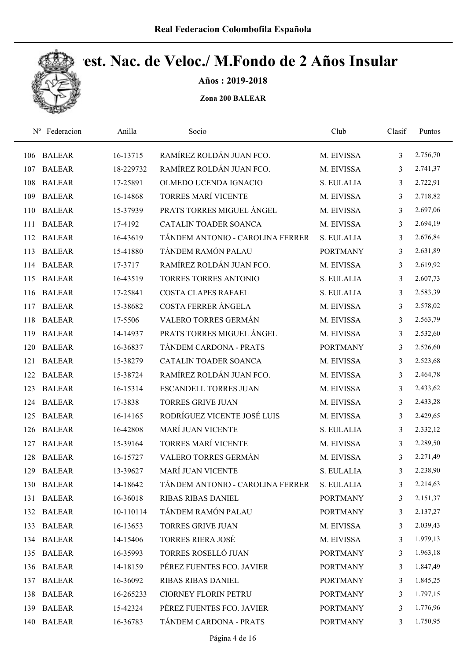

Años : 2019-2018

| $N^{\rm o}$ | Federacion    | Anilla    | Socio                            | Club            | Clasif | Puntos   |
|-------------|---------------|-----------|----------------------------------|-----------------|--------|----------|
| 106         | <b>BALEAR</b> | 16-13715  | RAMÍREZ ROLDÁN JUAN FCO.         | M. EIVISSA      | 3      | 2.756,70 |
| 107         | <b>BALEAR</b> | 18-229732 | RAMÍREZ ROLDÁN JUAN FCO.         | M. EIVISSA      | 3      | 2.741,37 |
| 108         | <b>BALEAR</b> | 17-25891  | OLMEDO UCENDA IGNACIO            | S. EULALIA      | 3      | 2.722,91 |
| 109         | <b>BALEAR</b> | 16-14868  | <b>TORRES MARÍ VICENTE</b>       | M. EIVISSA      | 3      | 2.718,82 |
| 110         | <b>BALEAR</b> | 15-37939  | PRATS TORRES MIGUEL ÁNGEL        | M. EIVISSA      | 3      | 2.697,06 |
| 111         | <b>BALEAR</b> | 17-4192   | <b>CATALIN TOADER SOANCA</b>     | M. EIVISSA      | 3      | 2.694,19 |
| 112         | <b>BALEAR</b> | 16-43619  | TÁNDEM ANTONIO - CAROLINA FERRER | S. EULALIA      | 3      | 2.676,84 |
| 113         | <b>BALEAR</b> | 15-41880  | TÁNDEM RAMÓN PALAU               | <b>PORTMANY</b> | 3      | 2.631,89 |
| 114         | <b>BALEAR</b> | 17-3717   | RAMÍREZ ROLDÁN JUAN FCO.         | M. EIVISSA      | 3      | 2.619,92 |
| 115         | <b>BALEAR</b> | 16-43519  | <b>TORRES TORRES ANTONIO</b>     | S. EULALIA      | 3      | 2.607,73 |
| 116         | <b>BALEAR</b> | 17-25841  | <b>COSTA CLAPES RAFAEL</b>       | S. EULALIA      | 3      | 2.583,39 |
| 117         | <b>BALEAR</b> | 15-38682  | COSTA FERRER ÁNGELA              | M. EIVISSA      | 3      | 2.578,02 |
| 118         | <b>BALEAR</b> | 17-5506   | VALERO TORRES GERMÁN             | M. EIVISSA      | 3      | 2.563,79 |
| 119         | <b>BALEAR</b> | 14-14937  | PRATS TORRES MIGUEL ÁNGEL        | M. EIVISSA      | 3      | 2.532,60 |
| 120         | <b>BALEAR</b> | 16-36837  | TÁNDEM CARDONA - PRATS           | <b>PORTMANY</b> | 3      | 2.526,60 |
| 121         | <b>BALEAR</b> | 15-38279  | CATALIN TOADER SOANCA            | M. EIVISSA      | 3      | 2.523,68 |
| 122         | <b>BALEAR</b> | 15-38724  | RAMÍREZ ROLDÁN JUAN FCO.         | M. EIVISSA      | 3      | 2.464,78 |
| 123         | <b>BALEAR</b> | 16-15314  | <b>ESCANDELL TORRES JUAN</b>     | M. EIVISSA      | 3      | 2.433,62 |
| 124         | <b>BALEAR</b> | 17-3838   | <b>TORRES GRIVE JUAN</b>         | M. EIVISSA      | 3      | 2.433,28 |
| 125         | <b>BALEAR</b> | 16-14165  | RODRÍGUEZ VICENTE JOSÉ LUIS      | M. EIVISSA      | 3      | 2.429,65 |
| 126         | <b>BALEAR</b> | 16-42808  | MARÍ JUAN VICENTE                | S. EULALIA      | 3      | 2.332,12 |
| 127         | <b>BALEAR</b> | 15-39164  | <b>TORRES MARÍ VICENTE</b>       | M. EIVISSA      | 3      | 2.289,50 |
| 128         | <b>BALEAR</b> | 16-15727  | VALERO TORRES GERMÁN             | M. EIVISSA      | 3      | 2.271,49 |
| 129         | <b>BALEAR</b> | 13-39627  | <b>MARÍ JUAN VICENTE</b>         | S. EULALIA      | 3      | 2.238,90 |
|             | 130 BALEAR    | 14-18642  | TÁNDEM ANTONIO - CAROLINA FERRER | S. EULALIA      | 3      | 2.214,63 |
| 131         | <b>BALEAR</b> | 16-36018  | <b>RIBAS RIBAS DANIEL</b>        | <b>PORTMANY</b> | 3      | 2.151,37 |
|             | 132 BALEAR    | 10-110114 | TÁNDEM RAMÓN PALAU               | <b>PORTMANY</b> | 3      | 2.137,27 |
| 133         | <b>BALEAR</b> | 16-13653  | TORRES GRIVE JUAN                | M. EIVISSA      | 3      | 2.039,43 |
|             | 134 BALEAR    | 14-15406  | <b>TORRES RIERA JOSÉ</b>         | M. EIVISSA      | 3      | 1.979,13 |
| 135         | <b>BALEAR</b> | 16-35993  | TORRES ROSELLÓ JUAN              | <b>PORTMANY</b> | 3      | 1.963,18 |
| 136         | <b>BALEAR</b> | 14-18159  | PÉREZ FUENTES FCO. JAVIER        | <b>PORTMANY</b> | 3      | 1.847,49 |
| 137         | <b>BALEAR</b> | 16-36092  | RIBAS RIBAS DANIEL               | <b>PORTMANY</b> | 3      | 1.845,25 |
| 138         | <b>BALEAR</b> | 16-265233 | <b>CIORNEY FLORIN PETRU</b>      | <b>PORTMANY</b> | 3      | 1.797,15 |
| 139         | <b>BALEAR</b> | 15-42324  | PÉREZ FUENTES FCO. JAVIER        | <b>PORTMANY</b> | 3      | 1.776,96 |
| 140         | <b>BALEAR</b> | 16-36783  | TÁNDEM CARDONA - PRATS           | <b>PORTMANY</b> | 3      | 1.750,95 |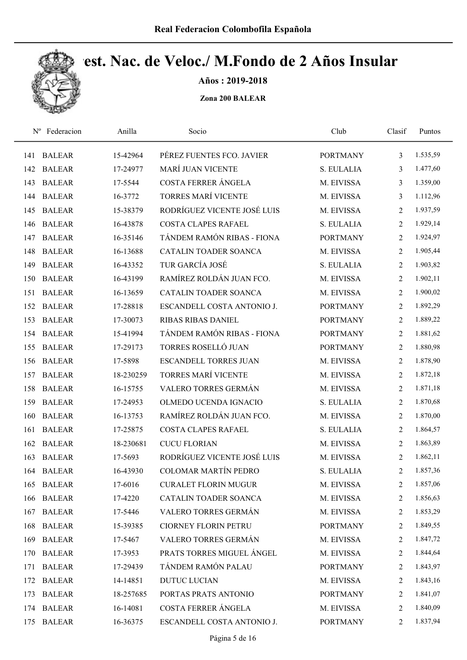

Años : 2019-2018

| $N^{\rm o}$ | Federacion    | Anilla    | Socio                        | Club            | Clasif         | Puntos   |
|-------------|---------------|-----------|------------------------------|-----------------|----------------|----------|
| 141         | <b>BALEAR</b> | 15-42964  | PÉREZ FUENTES FCO. JAVIER    | <b>PORTMANY</b> | 3              | 1.535,59 |
| 142         | <b>BALEAR</b> | 17-24977  | <b>MARÍ JUAN VICENTE</b>     | S. EULALIA      | 3              | 1.477,60 |
| 143         | <b>BALEAR</b> | 17-5544   | COSTA FERRER ÁNGELA          | M. EIVISSA      | 3              | 1.359,00 |
| 144         | <b>BALEAR</b> | 16-3772   | <b>TORRES MARÍ VICENTE</b>   | M. EIVISSA      | 3              | 1.112,96 |
| 145         | <b>BALEAR</b> | 15-38379  | RODRÍGUEZ VICENTE JOSÉ LUIS  | M. EIVISSA      | 2              | 1.937,59 |
| 146         | <b>BALEAR</b> | 16-43878  | COSTA CLAPES RAFAEL          | S. EULALIA      | $\overline{2}$ | 1.929,14 |
| 147         | <b>BALEAR</b> | 16-35146  | TÁNDEM RAMÓN RIBAS - FIONA   | <b>PORTMANY</b> | $\overline{2}$ | 1.924,97 |
| 148         | <b>BALEAR</b> | 16-13688  | CATALIN TOADER SOANCA        | M. EIVISSA      | $\overline{2}$ | 1.905,44 |
| 149         | <b>BALEAR</b> | 16-43352  | TUR GARCÍA JOSÉ              | S. EULALIA      | 2              | 1.903,82 |
| 150         | <b>BALEAR</b> | 16-43199  | RAMÍREZ ROLDÁN JUAN FCO.     | M. EIVISSA      | 2              | 1.902,11 |
| 151         | <b>BALEAR</b> | 16-13659  | <b>CATALIN TOADER SOANCA</b> | M. EIVISSA      | 2              | 1.900,02 |
| 152         | <b>BALEAR</b> | 17-28818  | ESCANDELL COSTA ANTONIO J.   | <b>PORTMANY</b> | $\overline{2}$ | 1.892,29 |
| 153         | <b>BALEAR</b> | 17-30073  | <b>RIBAS RIBAS DANIEL</b>    | <b>PORTMANY</b> | $\overline{2}$ | 1.889,22 |
| 154         | <b>BALEAR</b> | 15-41994  | TÁNDEM RAMÓN RIBAS - FIONA   | <b>PORTMANY</b> | $\overline{2}$ | 1.881,62 |
| 155         | <b>BALEAR</b> | 17-29173  | TORRES ROSELLÓ JUAN          | <b>PORTMANY</b> | $\overline{2}$ | 1.880,98 |
| 156         | <b>BALEAR</b> | 17-5898   | <b>ESCANDELL TORRES JUAN</b> | M. EIVISSA      | $\overline{2}$ | 1.878,90 |
| 157         | <b>BALEAR</b> | 18-230259 | <b>TORRES MARÍ VICENTE</b>   | M. EIVISSA      | $\overline{2}$ | 1.872,18 |
| 158         | <b>BALEAR</b> | 16-15755  | VALERO TORRES GERMÁN         | M. EIVISSA      | $\overline{2}$ | 1.871,18 |
| 159         | <b>BALEAR</b> | 17-24953  | OLMEDO UCENDA IGNACIO        | S. EULALIA      | $\overline{2}$ | 1.870,68 |
| 160         | <b>BALEAR</b> | 16-13753  | RAMÍREZ ROLDÁN JUAN FCO.     | M. EIVISSA      | 2              | 1.870,00 |
| 161         | <b>BALEAR</b> | 17-25875  | COSTA CLAPES RAFAEL          | S. EULALIA      | $\overline{2}$ | 1.864,57 |
| 162         | <b>BALEAR</b> | 18-230681 | <b>CUCU FLORIAN</b>          | M. EIVISSA      | 2              | 1.863,89 |
| 163         | <b>BALEAR</b> | 17-5693   | RODRÍGUEZ VICENTE JOSÉ LUIS  | M. EIVISSA      | 2              | 1.862,11 |
| 164         | <b>BALEAR</b> | 16-43930  | COLOMAR MARTÍN PEDRO         | S. EULALIA      | 2              | 1.857,36 |
| 165         | <b>BALEAR</b> | 17-6016   | <b>CURALET FLORIN MUGUR</b>  | M. EIVISSA      | 2              | 1.857,06 |
| 166         | <b>BALEAR</b> | 17-4220   | CATALIN TOADER SOANCA        | M. EIVISSA      | 2              | 1.856,63 |
| 167         | <b>BALEAR</b> | 17-5446   | VALERO TORRES GERMÁN         | M. EIVISSA      | 2              | 1.853,29 |
| 168         | <b>BALEAR</b> | 15-39385  | <b>CIORNEY FLORIN PETRU</b>  | <b>PORTMANY</b> | 2              | 1.849,55 |
| 169         | <b>BALEAR</b> | 17-5467   | VALERO TORRES GERMÁN         | M. EIVISSA      | 2              | 1.847,72 |
| 170         | <b>BALEAR</b> | 17-3953   | PRATS TORRES MIGUEL ÁNGEL    | M. EIVISSA      | 2              | 1.844,64 |
| 171         | <b>BALEAR</b> | 17-29439  | TÁNDEM RAMÓN PALAU           | <b>PORTMANY</b> | 2              | 1.843,97 |
| 172         | <b>BALEAR</b> | 14-14851  | <b>DUTUC LUCIAN</b>          | M. EIVISSA      | 2              | 1.843,16 |
| 173         | <b>BALEAR</b> | 18-257685 | PORTAS PRATS ANTONIO         | <b>PORTMANY</b> | 2              | 1.841,07 |
| 174         | <b>BALEAR</b> | 16-14081  | COSTA FERRER ÁNGELA          | M. EIVISSA      | 2              | 1.840,09 |
| 175         | <b>BALEAR</b> | 16-36375  | ESCANDELL COSTA ANTONIO J.   | <b>PORTMANY</b> | 2              | 1.837,94 |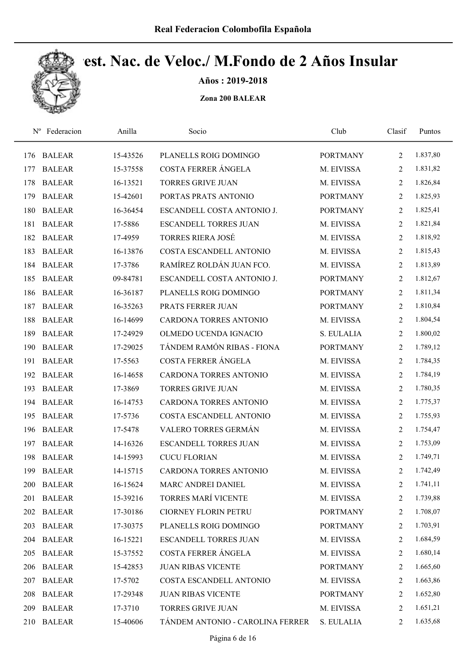

Años : 2019-2018

| $N^{\rm o}$ | Federacion    | Anilla   | Socio                            | Club            | Clasif         | Puntos   |
|-------------|---------------|----------|----------------------------------|-----------------|----------------|----------|
| 176         | <b>BALEAR</b> | 15-43526 | PLANELLS ROIG DOMINGO            | <b>PORTMANY</b> | 2              | 1.837,80 |
| 177         | <b>BALEAR</b> | 15-37558 | COSTA FERRER ÁNGELA              | M. EIVISSA      | 2              | 1.831,82 |
| 178         | <b>BALEAR</b> | 16-13521 | <b>TORRES GRIVE JUAN</b>         | M. EIVISSA      | 2              | 1.826,84 |
| 179         | <b>BALEAR</b> | 15-42601 | PORTAS PRATS ANTONIO             | <b>PORTMANY</b> | 2              | 1.825,93 |
| 180         | <b>BALEAR</b> | 16-36454 | ESCANDELL COSTA ANTONIO J.       | <b>PORTMANY</b> | 2              | 1.825,41 |
| 181         | <b>BALEAR</b> | 17-5886  | <b>ESCANDELL TORRES JUAN</b>     | M. EIVISSA      | 2              | 1.821,84 |
| 182         | <b>BALEAR</b> | 17-4959  | <b>TORRES RIERA JOSÉ</b>         | M. EIVISSA      | $\overline{2}$ | 1.818,92 |
| 183         | <b>BALEAR</b> | 16-13876 | COSTA ESCANDELL ANTONIO          | M. EIVISSA      | $\overline{2}$ | 1.815,43 |
| 184         | <b>BALEAR</b> | 17-3786  | RAMÍREZ ROLDÁN JUAN FCO.         | M. EIVISSA      | 2              | 1.813,89 |
| 185         | <b>BALEAR</b> | 09-84781 | ESCANDELL COSTA ANTONIO J.       | <b>PORTMANY</b> | 2              | 1.812,67 |
| 186         | <b>BALEAR</b> | 16-36187 | PLANELLS ROIG DOMINGO            | <b>PORTMANY</b> | 2              | 1.811,34 |
| 187         | <b>BALEAR</b> | 16-35263 | PRATS FERRER JUAN                | <b>PORTMANY</b> | $\overline{2}$ | 1.810,84 |
| 188         | <b>BALEAR</b> | 16-14699 | <b>CARDONA TORRES ANTONIO</b>    | M. EIVISSA      | 2              | 1.804,54 |
| 189         | <b>BALEAR</b> | 17-24929 | OLMEDO UCENDA IGNACIO            | S. EULALIA      | $\overline{2}$ | 1.800,02 |
| 190         | <b>BALEAR</b> | 17-29025 | TÁNDEM RAMÓN RIBAS - FIONA       | <b>PORTMANY</b> | $\overline{2}$ | 1.789,12 |
| 191         | <b>BALEAR</b> | 17-5563  | COSTA FERRER ÁNGELA              | M. EIVISSA      | 2              | 1.784,35 |
| 192         | <b>BALEAR</b> | 16-14658 | CARDONA TORRES ANTONIO           | M. EIVISSA      | 2              | 1.784,19 |
| 193         | <b>BALEAR</b> | 17-3869  | <b>TORRES GRIVE JUAN</b>         | M. EIVISSA      | $\overline{2}$ | 1.780,35 |
| 194         | <b>BALEAR</b> | 16-14753 | CARDONA TORRES ANTONIO           | M. EIVISSA      | $\overline{2}$ | 1.775,37 |
| 195         | <b>BALEAR</b> | 17-5736  | COSTA ESCANDELL ANTONIO          | M. EIVISSA      | 2              | 1.755,93 |
| 196         | <b>BALEAR</b> | 17-5478  | VALERO TORRES GERMÁN             | M. EIVISSA      | $\overline{2}$ | 1.754,47 |
| 197         | <b>BALEAR</b> | 14-16326 | <b>ESCANDELL TORRES JUAN</b>     | M. EIVISSA      | 2              | 1.753,09 |
| 198         | <b>BALEAR</b> | 14-15993 | <b>CUCU FLORIAN</b>              | M. EIVISSA      | 2              | 1.749,71 |
| 199         | <b>BALEAR</b> | 14-15715 | CARDONA TORRES ANTONIO           | M. EIVISSA      | $\overline{2}$ | 1.742,49 |
| 200         | <b>BALEAR</b> | 16-15624 | MARC ANDREI DANIEL               | M. EIVISSA      | 2              | 1.741,11 |
| 201         | <b>BALEAR</b> | 15-39216 | <b>TORRES MARÍ VICENTE</b>       | M. EIVISSA      | 2              | 1.739,88 |
|             | 202 BALEAR    | 17-30186 | <b>CIORNEY FLORIN PETRU</b>      | <b>PORTMANY</b> | $\overline{2}$ | 1.708,07 |
| 203         | <b>BALEAR</b> | 17-30375 | PLANELLS ROIG DOMINGO            | <b>PORTMANY</b> | 2              | 1.703,91 |
| 204         | <b>BALEAR</b> | 16-15221 | <b>ESCANDELL TORRES JUAN</b>     | M. EIVISSA      | 2              | 1.684,59 |
| 205         | <b>BALEAR</b> | 15-37552 | COSTA FERRER ÁNGELA              | M. EIVISSA      | 2              | 1.680,14 |
| 206         | <b>BALEAR</b> | 15-42853 | <b>JUAN RIBAS VICENTE</b>        | <b>PORTMANY</b> | 2              | 1.665,60 |
| 207         | <b>BALEAR</b> | 17-5702  | COSTA ESCANDELL ANTONIO          | M. EIVISSA      | 2              | 1.663,86 |
| 208         | <b>BALEAR</b> | 17-29348 | <b>JUAN RIBAS VICENTE</b>        | <b>PORTMANY</b> | 2              | 1.652,80 |
| 209         | <b>BALEAR</b> | 17-3710  | TORRES GRIVE JUAN                | M. EIVISSA      | 2              | 1.651,21 |
| 210         | <b>BALEAR</b> | 15-40606 | TÁNDEM ANTONIO - CAROLINA FERRER | S. EULALIA      | 2              | 1.635,68 |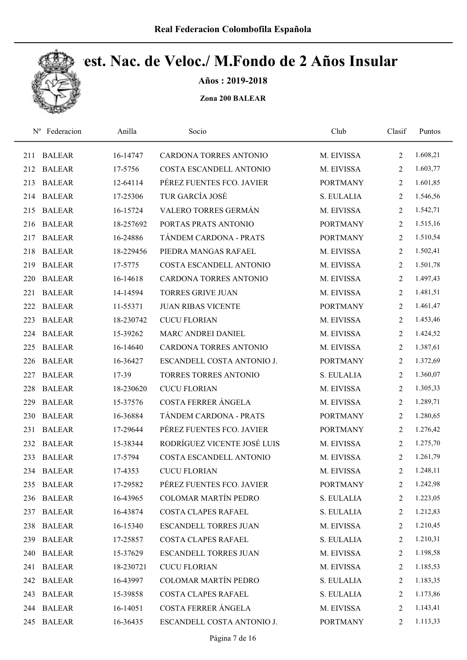

Años : 2019-2018

| $N^{\rm o}$ | Federacion    | Anilla    | Socio                         | Club            | Clasif         | Puntos   |
|-------------|---------------|-----------|-------------------------------|-----------------|----------------|----------|
| 211         | <b>BALEAR</b> | 16-14747  | CARDONA TORRES ANTONIO        | M. EIVISSA      | $\overline{2}$ | 1.608,21 |
| 212         | <b>BALEAR</b> | 17-5756   | COSTA ESCANDELL ANTONIO       | M. EIVISSA      | 2              | 1.603,77 |
| 213         | <b>BALEAR</b> | 12-64114  | PÉREZ FUENTES FCO. JAVIER     | <b>PORTMANY</b> | 2              | 1.601,85 |
| 214         | <b>BALEAR</b> | 17-25306  | TUR GARCÍA JOSÉ               | S. EULALIA      | 2              | 1.546,56 |
| 215         | <b>BALEAR</b> | 16-15724  | VALERO TORRES GERMÁN          | M. EIVISSA      | 2              | 1.542,71 |
| 216         | <b>BALEAR</b> | 18-257692 | PORTAS PRATS ANTONIO          | <b>PORTMANY</b> | $\overline{2}$ | 1.515,16 |
| 217         | <b>BALEAR</b> | 16-24886  | TÁNDEM CARDONA - PRATS        | <b>PORTMANY</b> | 2              | 1.510,54 |
| 218         | <b>BALEAR</b> | 18-229456 | PIEDRA MANGAS RAFAEL          | M. EIVISSA      | 2              | 1.502,41 |
| 219         | <b>BALEAR</b> | 17-5775   | COSTA ESCANDELL ANTONIO       | M. EIVISSA      | 2              | 1.501,78 |
| 220         | <b>BALEAR</b> | 16-14618  | <b>CARDONA TORRES ANTONIO</b> | M. EIVISSA      | 2              | 1.497,43 |
| 221         | <b>BALEAR</b> | 14-14594  | <b>TORRES GRIVE JUAN</b>      | M. EIVISSA      | 2              | 1.481,51 |
| 222         | <b>BALEAR</b> | 11-55371  | <b>JUAN RIBAS VICENTE</b>     | <b>PORTMANY</b> | 2              | 1.461,47 |
| 223         | <b>BALEAR</b> | 18-230742 | <b>CUCU FLORIAN</b>           | M. EIVISSA      | 2              | 1.453,46 |
| 224         | <b>BALEAR</b> | 15-39262  | MARC ANDREI DANIEL            | M. EIVISSA      | 2              | 1.424,52 |
| 225         | <b>BALEAR</b> | 16-14640  | CARDONA TORRES ANTONIO        | M. EIVISSA      | $\overline{2}$ | 1.387,61 |
| 226         | <b>BALEAR</b> | 16-36427  | ESCANDELL COSTA ANTONIO J.    | <b>PORTMANY</b> | 2              | 1.372,69 |
| 227         | <b>BALEAR</b> | 17-39     | TORRES TORRES ANTONIO         | S. EULALIA      | 2              | 1.360,07 |
| 228         | <b>BALEAR</b> | 18-230620 | <b>CUCU FLORIAN</b>           | M. EIVISSA      | 2              | 1.305,33 |
| 229         | <b>BALEAR</b> | 15-37576  | COSTA FERRER ÁNGELA           | M. EIVISSA      | $\overline{2}$ | 1.289,71 |
| 230         | <b>BALEAR</b> | 16-36884  | TÁNDEM CARDONA - PRATS        | <b>PORTMANY</b> | 2              | 1.280,65 |
| 231         | <b>BALEAR</b> | 17-29644  | PÉREZ FUENTES FCO. JAVIER     | <b>PORTMANY</b> | $\overline{2}$ | 1.276,42 |
| 232         | <b>BALEAR</b> | 15-38344  | RODRÍGUEZ VICENTE JOSÉ LUIS   | M. EIVISSA      | 2              | 1.275,70 |
| 233         | <b>BALEAR</b> | 17-5794   | COSTA ESCANDELL ANTONIO       | M. EIVISSA      | 2              | 1.261,79 |
|             | 234 BALEAR    | 17-4353   | <b>CUCU FLORIAN</b>           | M. EIVISSA      | 2              | 1.248,11 |
|             | 235 BALEAR    | 17-29582  | PÉREZ FUENTES FCO. JAVIER     | <b>PORTMANY</b> | 2              | 1.242,98 |
| 236         | <b>BALEAR</b> | 16-43965  | <b>COLOMAR MARTÍN PEDRO</b>   | S. EULALIA      | 2              | 1.223,05 |
| 237         | <b>BALEAR</b> | 16-43874  | COSTA CLAPES RAFAEL           | S. EULALIA      | $\overline{2}$ | 1.212,83 |
| 238         | <b>BALEAR</b> | 16-15340  | ESCANDELL TORRES JUAN         | M. EIVISSA      | 2              | 1.210,45 |
| 239         | <b>BALEAR</b> | 17-25857  | COSTA CLAPES RAFAEL           | S. EULALIA      | 2              | 1.210,31 |
| 240         | <b>BALEAR</b> | 15-37629  | <b>ESCANDELL TORRES JUAN</b>  | M. EIVISSA      | 2              | 1.198,58 |
| 241         | <b>BALEAR</b> | 18-230721 | <b>CUCU FLORIAN</b>           | M. EIVISSA      | 2              | 1.185,53 |
| 242         | <b>BALEAR</b> | 16-43997  | <b>COLOMAR MARTÍN PEDRO</b>   | S. EULALIA      | 2              | 1.183,35 |
| 243         | <b>BALEAR</b> | 15-39858  | COSTA CLAPES RAFAEL           | S. EULALIA      | $\overline{2}$ | 1.173,86 |
| 244         | <b>BALEAR</b> | 16-14051  | COSTA FERRER ÁNGELA           | M. EIVISSA      | 2              | 1.143,41 |
| 245         | <b>BALEAR</b> | 16-36435  | ESCANDELL COSTA ANTONIO J.    | <b>PORTMANY</b> | $\overline{2}$ | 1.113,33 |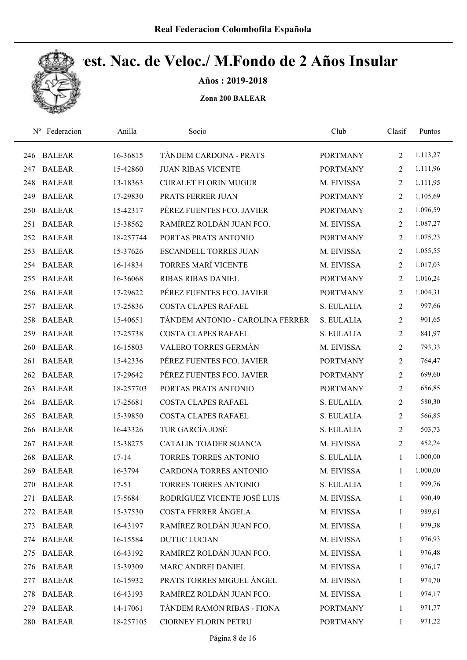

Años : 2019-2018

| $N^{\rm o}$ | Federacion    | Anilla    | Socio                            | Club            | Clasif         | Puntos   |
|-------------|---------------|-----------|----------------------------------|-----------------|----------------|----------|
| 246         | <b>BALEAR</b> | 16-36815  | TÁNDEM CARDONA - PRATS           | <b>PORTMANY</b> | $\overline{2}$ | 1.113,27 |
| 247         | <b>BALEAR</b> | 15-42860  | <b>JUAN RIBAS VICENTE</b>        | <b>PORTMANY</b> | $\overline{2}$ | 1.111,96 |
| 248         | <b>BALEAR</b> | 13-18363  | <b>CURALET FLORIN MUGUR</b>      | M. EIVISSA      | 2              | 1.111,95 |
| 249         | <b>BALEAR</b> | 17-29830  | PRATS FERRER JUAN                | <b>PORTMANY</b> | 2              | 1.105,69 |
| 250         | <b>BALEAR</b> | 15-42317  | PÉREZ FUENTES FCO. JAVIER        | <b>PORTMANY</b> | 2              | 1.096,59 |
| 251         | <b>BALEAR</b> | 15-38562  | RAMÍREZ ROLDÁN JUAN FCO.         | M. EIVISSA      | $\overline{2}$ | 1.087,27 |
| 252         | <b>BALEAR</b> | 18-257744 | PORTAS PRATS ANTONIO             | <b>PORTMANY</b> | $\overline{2}$ | 1.075,23 |
| 253         | <b>BALEAR</b> | 15-37626  | <b>ESCANDELL TORRES JUAN</b>     | M. EIVISSA      | $\overline{2}$ | 1.055,55 |
| 254         | <b>BALEAR</b> | 16-14834  | <b>TORRES MARÍ VICENTE</b>       | M. EIVISSA      | 2              | 1.017,03 |
| 255         | <b>BALEAR</b> | 16-36068  | <b>RIBAS RIBAS DANIEL</b>        | <b>PORTMANY</b> | 2              | 1.016,24 |
| 256         | <b>BALEAR</b> | 17-29622  | PÉREZ FUENTES FCO. JAVIER        | <b>PORTMANY</b> | 2              | 1.004,31 |
| 257         | <b>BALEAR</b> | 17-25836  | <b>COSTA CLAPES RAFAEL</b>       | S. EULALIA      | 2              | 997,66   |
| 258         | <b>BALEAR</b> | 15-40651  | TÁNDEM ANTONIO - CAROLINA FERRER | S. EULALIA      | 2              | 901,65   |
| 259         | <b>BALEAR</b> | 17-25738  | <b>COSTA CLAPES RAFAEL</b>       | S. EULALIA      | $\overline{2}$ | 841,97   |
| 260         | <b>BALEAR</b> | 16-15803  | VALERO TORRES GERMÁN             | M. EIVISSA      | $\overline{2}$ | 793,33   |
| 261         | <b>BALEAR</b> | 15-42336  | PÉREZ FUENTES FCO. JAVIER        | <b>PORTMANY</b> | 2              | 764,47   |
| 262         | <b>BALEAR</b> | 17-29642  | PÉREZ FUENTES FCO. JAVIER        | <b>PORTMANY</b> | 2              | 699,60   |
| 263         | <b>BALEAR</b> | 18-257703 | PORTAS PRATS ANTONIO             | <b>PORTMANY</b> | 2              | 656,85   |
| 264         | <b>BALEAR</b> | 17-25681  | <b>COSTA CLAPES RAFAEL</b>       | S. EULALIA      | $\overline{2}$ | 580,30   |
| 265         | <b>BALEAR</b> | 15-39850  | <b>COSTA CLAPES RAFAEL</b>       | S. EULALIA      | 2              | 566,85   |
| 266         | <b>BALEAR</b> | 16-43326  | TUR GARCÍA JOSÉ                  | S. EULALIA      | $\overline{2}$ | 503,73   |
| 267         | <b>BALEAR</b> | 15-38275  | <b>CATALIN TOADER SOANCA</b>     | M. EIVISSA      | $\overline{2}$ | 452,24   |
| 268         | <b>BALEAR</b> | $17 - 14$ | TORRES TORRES ANTONIO            | S. EULALIA      | $\mathbf{1}$   | 1.000,00 |
| 269         | <b>BALEAR</b> | 16-3794   | CARDONA TORRES ANTONIO           | M. EIVISSA      | 1              | 1.000,00 |
| 270         | <b>BALEAR</b> | $17 - 51$ | TORRES TORRES ANTONIO            | S. EULALIA      | 1              | 999,76   |
| 271         | <b>BALEAR</b> | 17-5684   | RODRÍGUEZ VICENTE JOSÉ LUIS      | M. EIVISSA      | $\mathbf{1}$   | 990,49   |
| 272         | <b>BALEAR</b> | 15-37530  | COSTA FERRER ÁNGELA              | M. EIVISSA      | 1              | 989,61   |
| 273         | <b>BALEAR</b> | 16-43197  | RAMÍREZ ROLDÁN JUAN FCO.         | M. EIVISSA      | 1              | 979,38   |
| 274         | <b>BALEAR</b> | 16-15584  | <b>DUTUC LUCIAN</b>              | M. EIVISSA      | 1              | 976,93   |
| 275         | <b>BALEAR</b> | 16-43192  | RAMÍREZ ROLDÁN JUAN FCO.         | M. EIVISSA      | $\mathbf{1}$   | 976,48   |
| 276         | <b>BALEAR</b> | 15-39309  | MARC ANDREI DANIEL               | M. EIVISSA      | $\mathbf{1}$   | 976,17   |
| 277         | <b>BALEAR</b> | 16-15932  | PRATS TORRES MIGUEL ÁNGEL        | M. EIVISSA      | 1              | 974,70   |
| 278         | <b>BALEAR</b> | 16-43193  | RAMÍREZ ROLDÁN JUAN FCO.         | M. EIVISSA      | $\mathbf{1}$   | 974,17   |
| 279         | <b>BALEAR</b> | 14-17061  | TÁNDEM RAMÓN RIBAS - FIONA       | <b>PORTMANY</b> | $\mathbf{1}$   | 971,77   |
| 280         | <b>BALEAR</b> | 18-257105 | CIORNEY FLORIN PETRU             | <b>PORTMANY</b> | $\mathbf{1}$   | 971,22   |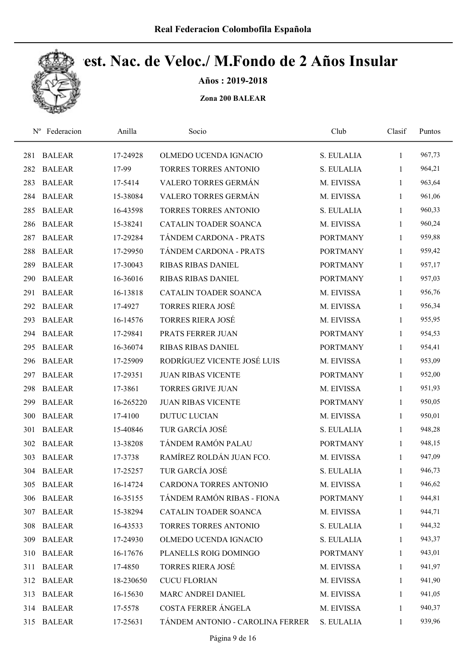

Años : 2019-2018

| $N^{\rm o}$ | Federacion    | Anilla    | Socio                            | Club            | Clasif       | Puntos |
|-------------|---------------|-----------|----------------------------------|-----------------|--------------|--------|
| 281         | <b>BALEAR</b> | 17-24928  | OLMEDO UCENDA IGNACIO            | S. EULALIA      | $\mathbf{1}$ | 967,73 |
| 282         | <b>BALEAR</b> | 17-99     | TORRES TORRES ANTONIO            | S. EULALIA      | 1            | 964,21 |
| 283         | <b>BALEAR</b> | 17-5414   | VALERO TORRES GERMÁN             | M. EIVISSA      | $\mathbf{1}$ | 963,64 |
| 284         | <b>BALEAR</b> | 15-38084  | VALERO TORRES GERMÁN             | M. EIVISSA      | $\mathbf{1}$ | 961,06 |
| 285         | <b>BALEAR</b> | 16-43598  | <b>TORRES TORRES ANTONIO</b>     | S. EULALIA      | $\mathbf{1}$ | 960,33 |
| 286         | <b>BALEAR</b> | 15-38241  | CATALIN TOADER SOANCA            | M. EIVISSA      | $\mathbf{1}$ | 960,24 |
| 287         | <b>BALEAR</b> | 17-29284  | TÁNDEM CARDONA - PRATS           | <b>PORTMANY</b> | $\mathbf{1}$ | 959,88 |
| 288         | <b>BALEAR</b> | 17-29950  | TÁNDEM CARDONA - PRATS           | <b>PORTMANY</b> | $\mathbf{1}$ | 959,42 |
| 289         | <b>BALEAR</b> | 17-30043  | <b>RIBAS RIBAS DANIEL</b>        | <b>PORTMANY</b> | $\mathbf{1}$ | 957,17 |
| 290         | <b>BALEAR</b> | 16-36016  | <b>RIBAS RIBAS DANIEL</b>        | <b>PORTMANY</b> | $\mathbf{1}$ | 957,03 |
| 291         | <b>BALEAR</b> | 16-13818  | CATALIN TOADER SOANCA            | M. EIVISSA      | 1            | 956,76 |
| 292         | <b>BALEAR</b> | 17-4927   | <b>TORRES RIERA JOSÉ</b>         | M. EIVISSA      | $\mathbf{1}$ | 956,34 |
| 293         | <b>BALEAR</b> | 16-14576  | <b>TORRES RIERA JOSÉ</b>         | M. EIVISSA      | 1            | 955,95 |
| 294         | <b>BALEAR</b> | 17-29841  | PRATS FERRER JUAN                | <b>PORTMANY</b> | $\mathbf{1}$ | 954,53 |
| 295         | <b>BALEAR</b> | 16-36074  | <b>RIBAS RIBAS DANIEL</b>        | <b>PORTMANY</b> | $\mathbf{1}$ | 954,41 |
| 296         | <b>BALEAR</b> | 17-25909  | RODRÍGUEZ VICENTE JOSÉ LUIS      | M. EIVISSA      | $\mathbf{1}$ | 953,09 |
| 297         | <b>BALEAR</b> | 17-29351  | <b>JUAN RIBAS VICENTE</b>        | <b>PORTMANY</b> | 1            | 952,00 |
| 298         | <b>BALEAR</b> | 17-3861   | <b>TORRES GRIVE JUAN</b>         | M. EIVISSA      | $\mathbf{1}$ | 951,93 |
| 299         | <b>BALEAR</b> | 16-265220 | <b>JUAN RIBAS VICENTE</b>        | <b>PORTMANY</b> | $\mathbf{1}$ | 950,05 |
| 300         | <b>BALEAR</b> | 17-4100   | <b>DUTUC LUCIAN</b>              | M. EIVISSA      | $\mathbf{1}$ | 950,01 |
| 301         | <b>BALEAR</b> | 15-40846  | TUR GARCÍA JOSÉ                  | S. EULALIA      | $\mathbf{1}$ | 948,28 |
| 302         | <b>BALEAR</b> | 13-38208  | TÁNDEM RAMÓN PALAU               | <b>PORTMANY</b> | 1            | 948,15 |
| 303         | <b>BALEAR</b> | 17-3738   | RAMÍREZ ROLDÁN JUAN FCO.         | M. EIVISSA      | $\mathbf{1}$ | 947,09 |
|             | 304 BALEAR    | 17-25257  | TUR GARCÍA JOSÉ                  | S. EULALIA      | $\mathbf{1}$ | 946,73 |
| 305         | <b>BALEAR</b> | 16-14724  | CARDONA TORRES ANTONIO           | M. EIVISSA      | 1            | 946,62 |
| 306         | <b>BALEAR</b> | 16-35155  | TÁNDEM RAMÓN RIBAS - FIONA       | <b>PORTMANY</b> | $\mathbf{1}$ | 944,81 |
| 307         | <b>BALEAR</b> | 15-38294  | CATALIN TOADER SOANCA            | M. EIVISSA      | 1            | 944,71 |
| 308         | <b>BALEAR</b> | 16-43533  | TORRES TORRES ANTONIO            | S. EULALIA      | $\mathbf{1}$ | 944,32 |
| 309         | <b>BALEAR</b> | 17-24930  | OLMEDO UCENDA IGNACIO            | S. EULALIA      | $\mathbf{1}$ | 943,37 |
| 310         | <b>BALEAR</b> | 16-17676  | PLANELLS ROIG DOMINGO            | <b>PORTMANY</b> | $\mathbf{1}$ | 943,01 |
| 311         | <b>BALEAR</b> | 17-4850   | <b>TORRES RIERA JOSÉ</b>         | M. EIVISSA      | $\mathbf{1}$ | 941,97 |
| 312         | <b>BALEAR</b> | 18-230650 | <b>CUCU FLORIAN</b>              | M. EIVISSA      | $\mathbf{1}$ | 941,90 |
| 313         | <b>BALEAR</b> | 16-15630  | MARC ANDREI DANIEL               | M. EIVISSA      | $\mathbf{1}$ | 941,05 |
|             | 314 BALEAR    | 17-5578   | COSTA FERRER ÁNGELA              | M. EIVISSA      | 1            | 940,37 |
| 315         | <b>BALEAR</b> | 17-25631  | TÁNDEM ANTONIO - CAROLINA FERRER | S. EULALIA      | 1            | 939,96 |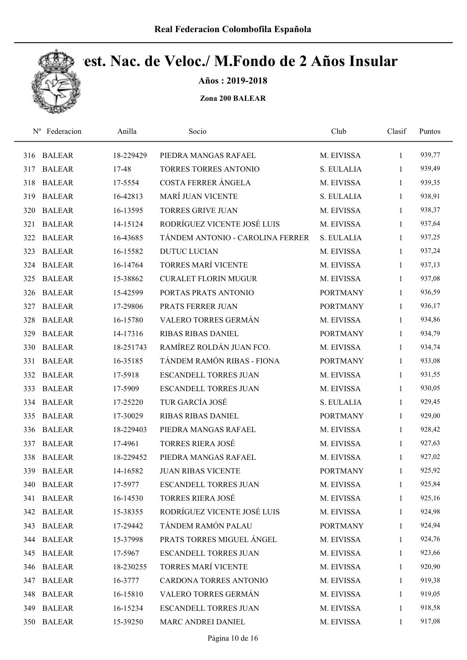

Años : 2019-2018

| $N^{\rm o}$ | Federacion    | Anilla    | Socio                            | Club            | Clasif       | Puntos |
|-------------|---------------|-----------|----------------------------------|-----------------|--------------|--------|
| 316         | <b>BALEAR</b> | 18-229429 | PIEDRA MANGAS RAFAEL             | M. EIVISSA      | $\mathbf{1}$ | 939,77 |
| 317         | <b>BALEAR</b> | 17-48     | TORRES TORRES ANTONIO            | S. EULALIA      | 1            | 939,49 |
| 318         | <b>BALEAR</b> | 17-5554   | COSTA FERRER ÁNGELA              | M. EIVISSA      | 1            | 939,35 |
| 319         | <b>BALEAR</b> | 16-42813  | <b>MARÍ JUAN VICENTE</b>         | S. EULALIA      | $\mathbf{1}$ | 938,91 |
| 320         | <b>BALEAR</b> | 16-13595  | <b>TORRES GRIVE JUAN</b>         | M. EIVISSA      | $\mathbf{1}$ | 938,37 |
| 321         | <b>BALEAR</b> | 14-15124  | RODRÍGUEZ VICENTE JOSÉ LUIS      | M. EIVISSA      | $\mathbf{1}$ | 937,64 |
| 322         | <b>BALEAR</b> | 16-43685  | TÁNDEM ANTONIO - CAROLINA FERRER | S. EULALIA      | $\mathbf{1}$ | 937,25 |
| 323         | <b>BALEAR</b> | 16-15582  | <b>DUTUC LUCIAN</b>              | M. EIVISSA      | $\mathbf{1}$ | 937,24 |
| 324         | <b>BALEAR</b> | 16-14764  | <b>TORRES MARÍ VICENTE</b>       | M. EIVISSA      | 1            | 937,13 |
| 325         | <b>BALEAR</b> | 15-38862  | <b>CURALET FLORIN MUGUR</b>      | M. EIVISSA      | $\mathbf{1}$ | 937,08 |
| 326         | <b>BALEAR</b> | 15-42599  | PORTAS PRATS ANTONIO             | <b>PORTMANY</b> | 1            | 936,59 |
| 327         | <b>BALEAR</b> | 17-29806  | PRATS FERRER JUAN                | <b>PORTMANY</b> | $\mathbf{1}$ | 936,17 |
| 328         | <b>BALEAR</b> | 16-15780  | VALERO TORRES GERMÁN             | M. EIVISSA      | 1            | 934,86 |
| 329         | <b>BALEAR</b> | 14-17316  | <b>RIBAS RIBAS DANIEL</b>        | <b>PORTMANY</b> | $\mathbf{1}$ | 934,79 |
| 330         | <b>BALEAR</b> | 18-251743 | RAMÍREZ ROLDÁN JUAN FCO.         | M. EIVISSA      | 1            | 934,74 |
| 331         | <b>BALEAR</b> | 16-35185  | TÁNDEM RAMÓN RIBAS - FIONA       | <b>PORTMANY</b> | $\mathbf{1}$ | 933,08 |
| 332         | <b>BALEAR</b> | 17-5918   | <b>ESCANDELL TORRES JUAN</b>     | M. EIVISSA      | $\mathbf{1}$ | 931,55 |
| 333         | <b>BALEAR</b> | 17-5909   | <b>ESCANDELL TORRES JUAN</b>     | M. EIVISSA      | $\mathbf{1}$ | 930,05 |
| 334         | <b>BALEAR</b> | 17-25220  | TUR GARCÍA JOSÉ                  | S. EULALIA      | $\mathbf{1}$ | 929,45 |
| 335         | <b>BALEAR</b> | 17-30029  | <b>RIBAS RIBAS DANIEL</b>        | <b>PORTMANY</b> | $\mathbf{1}$ | 929,00 |
| 336         | <b>BALEAR</b> | 18-229403 | PIEDRA MANGAS RAFAEL             | M. EIVISSA      | $\mathbf{1}$ | 928,42 |
| 337         | <b>BALEAR</b> | 17-4961   | <b>TORRES RIERA JOSÉ</b>         | M. EIVISSA      | 1            | 927,63 |
| 338         | <b>BALEAR</b> | 18-229452 | PIEDRA MANGAS RAFAEL             | M. EIVISSA      | $\mathbf{1}$ | 927,02 |
| 339         | <b>BALEAR</b> | 14-16582  | <b>JUAN RIBAS VICENTE</b>        | <b>PORTMANY</b> | 1            | 925,92 |
| 340         | <b>BALEAR</b> | 17-5977   | <b>ESCANDELL TORRES JUAN</b>     | M. EIVISSA      | 1            | 925,84 |
| 341         | <b>BALEAR</b> | 16-14530  | <b>TORRES RIERA JOSÉ</b>         | M. EIVISSA      | $\mathbf{1}$ | 925,16 |
|             | 342 BALEAR    | 15-38355  | RODRÍGUEZ VICENTE JOSÉ LUIS      | M. EIVISSA      | 1            | 924,98 |
| 343         | <b>BALEAR</b> | 17-29442  | TÁNDEM RAMÓN PALAU               | <b>PORTMANY</b> | $\mathbf{1}$ | 924,94 |
| 344         | <b>BALEAR</b> | 15-37998  | PRATS TORRES MIGUEL ÁNGEL        | M. EIVISSA      | $\mathbf{1}$ | 924,76 |
| 345         | <b>BALEAR</b> | 17-5967   | <b>ESCANDELL TORRES JUAN</b>     | M. EIVISSA      | $\mathbf{1}$ | 923,66 |
| 346         | <b>BALEAR</b> | 18-230255 | <b>TORRES MARÍ VICENTE</b>       | M. EIVISSA      | $\mathbf{1}$ | 920,90 |
| 347         | <b>BALEAR</b> | 16-3777   | CARDONA TORRES ANTONIO           | M. EIVISSA      | $\mathbf{1}$ | 919,38 |
| 348         | <b>BALEAR</b> | 16-15810  | VALERO TORRES GERMÁN             | M. EIVISSA      | $\mathbf{1}$ | 919,05 |
| 349         | <b>BALEAR</b> | 16-15234  | <b>ESCANDELL TORRES JUAN</b>     | M. EIVISSA      | $\mathbf{1}$ | 918,58 |
|             | 350 BALEAR    | 15-39250  | MARC ANDREI DANIEL               | M. EIVISSA      | $\mathbf{1}$ | 917,08 |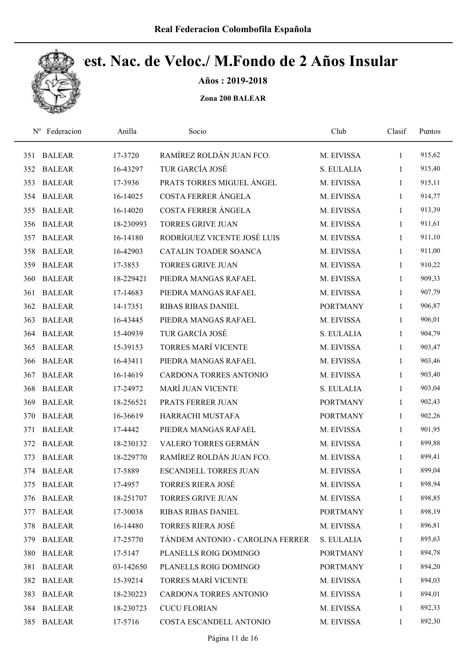

Años : 2019-2018

| $N^{\rm o}$ | Federacion    | Anilla    | Socio                            | Club            | Clasif       | Puntos |
|-------------|---------------|-----------|----------------------------------|-----------------|--------------|--------|
| 351         | <b>BALEAR</b> | 17-3720   | RAMÍREZ ROLDÁN JUAN FCO.         | M. EIVISSA      | $\mathbf{1}$ | 915,62 |
| 352         | <b>BALEAR</b> | 16-43297  | TUR GARCÍA JOSÉ                  | S. EULALIA      | 1            | 915,40 |
| 353         | <b>BALEAR</b> | 17-3936   | PRATS TORRES MIGUEL ÁNGEL        | M. EIVISSA      | 1            | 915,11 |
| 354         | <b>BALEAR</b> | 16-14025  | COSTA FERRER ÁNGELA              | M. EIVISSA      | 1            | 914,77 |
| 355         | <b>BALEAR</b> | 16-14020  | COSTA FERRER ÁNGELA              | M. EIVISSA      | $\mathbf{1}$ | 913,39 |
| 356         | <b>BALEAR</b> | 18-230993 | <b>TORRES GRIVE JUAN</b>         | M. EIVISSA      | $\mathbf{1}$ | 911,61 |
| 357         | <b>BALEAR</b> | 16-14180  | RODRÍGUEZ VICENTE JOSÉ LUIS      | M. EIVISSA      | $\mathbf{1}$ | 911,10 |
| 358         | <b>BALEAR</b> | 16-42903  | CATALIN TOADER SOANCA            | M. EIVISSA      | $\mathbf{1}$ | 911,00 |
| 359         | <b>BALEAR</b> | 17-3853   | <b>TORRES GRIVE JUAN</b>         | M. EIVISSA      | 1            | 910,22 |
| 360         | <b>BALEAR</b> | 18-229421 | PIEDRA MANGAS RAFAEL             | M. EIVISSA      | $\mathbf{1}$ | 909,33 |
| 361         | <b>BALEAR</b> | 17-14683  | PIEDRA MANGAS RAFAEL             | M. EIVISSA      | 1            | 907,79 |
| 362         | <b>BALEAR</b> | 14-17351  | <b>RIBAS RIBAS DANIEL</b>        | <b>PORTMANY</b> | 1            | 906,87 |
| 363         | <b>BALEAR</b> | 16-43445  | PIEDRA MANGAS RAFAEL             | M. EIVISSA      | 1            | 906,01 |
| 364         | <b>BALEAR</b> | 15-40939  | TUR GARCÍA JOSÉ                  | S. EULALIA      | 1            | 904,79 |
| 365         | <b>BALEAR</b> | 15-39153  | <b>TORRES MARÍ VICENTE</b>       | M. EIVISSA      | 1            | 903,47 |
| 366         | <b>BALEAR</b> | 16-43411  | PIEDRA MANGAS RAFAEL             | M. EIVISSA      | $\mathbf{1}$ | 903,46 |
| 367         | <b>BALEAR</b> | 16-14619  | CARDONA TORRES ANTONIO           | M. EIVISSA      | $\mathbf{1}$ | 903,40 |
| 368         | <b>BALEAR</b> | 17-24972  | <b>MARÍ JUAN VICENTE</b>         | S. EULALIA      | $\mathbf{1}$ | 903,04 |
| 369         | <b>BALEAR</b> | 18-256521 | PRATS FERRER JUAN                | <b>PORTMANY</b> | $\mathbf{1}$ | 902,43 |
| 370         | <b>BALEAR</b> | 16-36619  | HARRACHI MUSTAFA                 | <b>PORTMANY</b> | $\mathbf{1}$ | 902,26 |
| 371         | <b>BALEAR</b> | 17-4442   | PIEDRA MANGAS RAFAEL             | M. EIVISSA      | $\mathbf{1}$ | 901,95 |
| 372         | <b>BALEAR</b> | 18-230132 | VALERO TORRES GERMÁN             | M. EIVISSA      | $\mathbf{1}$ | 899,88 |
| 373         | <b>BALEAR</b> | 18-229770 | RAMÍREZ ROLDÁN JUAN FCO.         | M. EIVISSA      | $\mathbf{1}$ | 899,41 |
|             | 374 BALEAR    | 17-5889   | <b>ESCANDELL TORRES JUAN</b>     | M. EIVISSA      | $\mathbf{1}$ | 899,04 |
|             | 375 BALEAR    | 17-4957   | <b>TORRES RIERA JOSÉ</b>         | M. EIVISSA      | 1            | 898,94 |
| 376         | <b>BALEAR</b> | 18-251707 | <b>TORRES GRIVE JUAN</b>         | M. EIVISSA      | 1            | 898,85 |
|             | 377 BALEAR    | 17-30038  | RIBAS RIBAS DANIEL               | <b>PORTMANY</b> | $\mathbf{1}$ | 898,19 |
| 378         | <b>BALEAR</b> | 16-14480  | <b>TORRES RIERA JOSÉ</b>         | M. EIVISSA      | $\mathbf{1}$ | 896,81 |
| 379         | <b>BALEAR</b> | 17-25770  | TÁNDEM ANTONIO - CAROLINA FERRER | S. EULALIA      | $\mathbf{1}$ | 895,63 |
|             | 380 BALEAR    | 17-5147   | PLANELLS ROIG DOMINGO            | <b>PORTMANY</b> | $\mathbf{1}$ | 894,78 |
|             | 381 BALEAR    | 03-142650 | PLANELLS ROIG DOMINGO            | <b>PORTMANY</b> | $\mathbf{1}$ | 894,20 |
|             | 382 BALEAR    | 15-39214  | <b>TORRES MARÍ VICENTE</b>       | M. EIVISSA      | $\mathbf{1}$ | 894,03 |
| 383         | <b>BALEAR</b> | 18-230223 | CARDONA TORRES ANTONIO           | M. EIVISSA      | $\mathbf{1}$ | 894,01 |
|             | 384 BALEAR    | 18-230723 | <b>CUCU FLORIAN</b>              | M. EIVISSA      | $\mathbf{1}$ | 892,33 |
|             | 385 BALEAR    | 17-5716   | COSTA ESCANDELL ANTONIO          | M. EIVISSA      | $\mathbf{1}$ | 892,30 |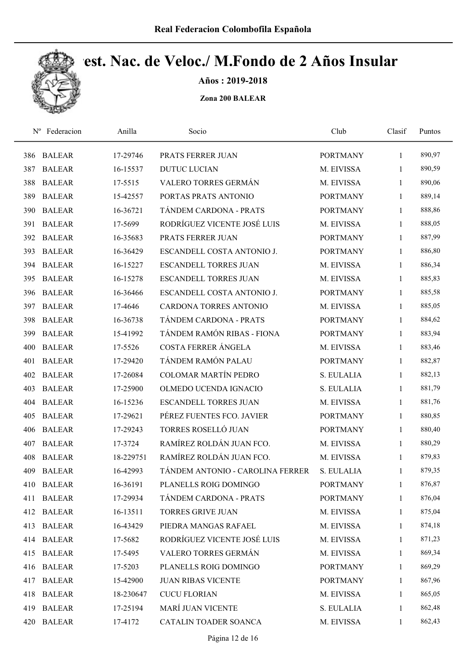

Años : 2019-2018

| $N^{\rm o}$ | Federacion    | Anilla    | Socio                            | Club            | Clasif       | Puntos |
|-------------|---------------|-----------|----------------------------------|-----------------|--------------|--------|
| 386         | <b>BALEAR</b> | 17-29746  | PRATS FERRER JUAN                | <b>PORTMANY</b> | 1            | 890,97 |
| 387         | <b>BALEAR</b> | 16-15537  | <b>DUTUC LUCIAN</b>              | M. EIVISSA      | 1            | 890,59 |
| 388         | <b>BALEAR</b> | 17-5515   | VALERO TORRES GERMÁN             | M. EIVISSA      | 1            | 890,06 |
| 389         | <b>BALEAR</b> | 15-42557  | PORTAS PRATS ANTONIO             | <b>PORTMANY</b> | $\mathbf{1}$ | 889,14 |
| 390         | <b>BALEAR</b> | 16-36721  | TÁNDEM CARDONA - PRATS           | <b>PORTMANY</b> | $\mathbf{1}$ | 888,86 |
| 391         | <b>BALEAR</b> | 17-5699   | RODRÍGUEZ VICENTE JOSÉ LUIS      | M. EIVISSA      | $\mathbf{1}$ | 888,05 |
| 392         | <b>BALEAR</b> | 16-35683  | PRATS FERRER JUAN                | <b>PORTMANY</b> | $\mathbf{1}$ | 887,99 |
| 393         | <b>BALEAR</b> | 16-36429  | ESCANDELL COSTA ANTONIO J.       | <b>PORTMANY</b> | $\mathbf{1}$ | 886,80 |
| 394         | <b>BALEAR</b> | 16-15227  | <b>ESCANDELL TORRES JUAN</b>     | M. EIVISSA      | 1            | 886,34 |
| 395         | <b>BALEAR</b> | 16-15278  | <b>ESCANDELL TORRES JUAN</b>     | M. EIVISSA      | $\mathbf{1}$ | 885,83 |
| 396         | <b>BALEAR</b> | 16-36466  | ESCANDELL COSTA ANTONIO J.       | <b>PORTMANY</b> | $\mathbf{1}$ | 885,58 |
| 397         | <b>BALEAR</b> | 17-4646   | <b>CARDONA TORRES ANTONIO</b>    | M. EIVISSA      | $\mathbf{1}$ | 885,05 |
| 398         | <b>BALEAR</b> | 16-36738  | TÁNDEM CARDONA - PRATS           | <b>PORTMANY</b> | $\mathbf{1}$ | 884,62 |
| 399         | <b>BALEAR</b> | 15-41992  | TÁNDEM RAMÓN RIBAS - FIONA       | <b>PORTMANY</b> | $\mathbf{1}$ | 883,94 |
| 400         | <b>BALEAR</b> | 17-5526   | COSTA FERRER ÁNGELA              | M. EIVISSA      | 1            | 883,46 |
| 401         | <b>BALEAR</b> | 17-29420  | TÁNDEM RAMÓN PALAU               | <b>PORTMANY</b> | $\mathbf{1}$ | 882,87 |
| 402         | <b>BALEAR</b> | 17-26084  | <b>COLOMAR MARTÍN PEDRO</b>      | S. EULALIA      | 1            | 882,13 |
| 403         | <b>BALEAR</b> | 17-25900  | OLMEDO UCENDA IGNACIO            | S. EULALIA      | $\mathbf{1}$ | 881,79 |
| 404         | <b>BALEAR</b> | 16-15236  | <b>ESCANDELL TORRES JUAN</b>     | M. EIVISSA      | $\mathbf{1}$ | 881,76 |
| 405         | <b>BALEAR</b> | 17-29621  | PÉREZ FUENTES FCO. JAVIER        | <b>PORTMANY</b> | $\mathbf{1}$ | 880,85 |
| 406         | <b>BALEAR</b> | 17-29243  | TORRES ROSELLÓ JUAN              | <b>PORTMANY</b> | $\mathbf{1}$ | 880,40 |
| 407         | <b>BALEAR</b> | 17-3724   | RAMÍREZ ROLDÁN JUAN FCO.         | M. EIVISSA      | 1            | 880,29 |
| 408         | <b>BALEAR</b> | 18-229751 | RAMÍREZ ROLDÁN JUAN FCO.         | M. EIVISSA      | $\mathbf{1}$ | 879,83 |
| 409         | <b>BALEAR</b> | 16-42993  | TÁNDEM ANTONIO - CAROLINA FERRER | S. EULALIA      | $\mathbf{1}$ | 879,35 |
| 410         | <b>BALEAR</b> | 16-36191  | PLANELLS ROIG DOMINGO            | <b>PORTMANY</b> | 1            | 876,87 |
| 411         | <b>BALEAR</b> | 17-29934  | TÁNDEM CARDONA - PRATS           | <b>PORTMANY</b> | $\mathbf{1}$ | 876,04 |
|             | 412 BALEAR    | 16-13511  | <b>TORRES GRIVE JUAN</b>         | M. EIVISSA      | 1            | 875,04 |
| 413         | <b>BALEAR</b> | 16-43429  | PIEDRA MANGAS RAFAEL             | M. EIVISSA      | $\mathbf{1}$ | 874,18 |
|             | 414 BALEAR    | 17-5682   | RODRÍGUEZ VICENTE JOSÉ LUIS      | M. EIVISSA      | $\mathbf{1}$ | 871,23 |
| 415         | <b>BALEAR</b> | 17-5495   | VALERO TORRES GERMÁN             | M. EIVISSA      | $\mathbf{1}$ | 869,34 |
| 416         | <b>BALEAR</b> | 17-5203   | PLANELLS ROIG DOMINGO            | <b>PORTMANY</b> | $\mathbf{1}$ | 869,29 |
| 417         | <b>BALEAR</b> | 15-42900  | <b>JUAN RIBAS VICENTE</b>        | <b>PORTMANY</b> | 1            | 867,96 |
| 418         | <b>BALEAR</b> | 18-230647 | <b>CUCU FLORIAN</b>              | M. EIVISSA      | $\mathbf{1}$ | 865,05 |
| 419         | <b>BALEAR</b> | 17-25194  | MARÍ JUAN VICENTE                | S. EULALIA      | 1            | 862,48 |
| 420         | <b>BALEAR</b> | 17-4172   | CATALIN TOADER SOANCA            | M. EIVISSA      | $\mathbf{1}$ | 862,43 |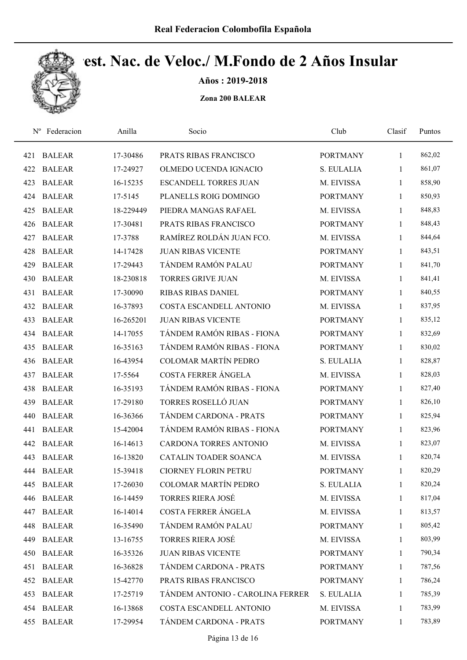

Años : 2019-2018

| $N^{\rm o}$ | Federacion    | Anilla    | Socio                            | Club            | Clasif       | Puntos |
|-------------|---------------|-----------|----------------------------------|-----------------|--------------|--------|
| 421         | <b>BALEAR</b> | 17-30486  | PRATS RIBAS FRANCISCO            | <b>PORTMANY</b> | $\mathbf{1}$ | 862,02 |
| 422         | <b>BALEAR</b> | 17-24927  | OLMEDO UCENDA IGNACIO            | S. EULALIA      | 1            | 861,07 |
| 423         | <b>BALEAR</b> | 16-15235  | <b>ESCANDELL TORRES JUAN</b>     | M. EIVISSA      | $\mathbf{1}$ | 858,90 |
| 424         | <b>BALEAR</b> | 17-5145   | PLANELLS ROIG DOMINGO            | <b>PORTMANY</b> | $\mathbf{1}$ | 850,93 |
| 425         | <b>BALEAR</b> | 18-229449 | PIEDRA MANGAS RAFAEL             | M. EIVISSA      | $\mathbf{1}$ | 848,83 |
| 426         | <b>BALEAR</b> | 17-30481  | PRATS RIBAS FRANCISCO            | <b>PORTMANY</b> | $\mathbf{1}$ | 848,43 |
| 427         | <b>BALEAR</b> | 17-3788   | RAMÍREZ ROLDÁN JUAN FCO.         | M. EIVISSA      | $\mathbf{1}$ | 844,64 |
| 428         | <b>BALEAR</b> | 14-17428  | <b>JUAN RIBAS VICENTE</b>        | <b>PORTMANY</b> | $\mathbf{1}$ | 843,51 |
| 429         | <b>BALEAR</b> | 17-29443  | TÁNDEM RAMÓN PALAU               | <b>PORTMANY</b> | $\mathbf{1}$ | 841,70 |
| 430         | <b>BALEAR</b> | 18-230818 | <b>TORRES GRIVE JUAN</b>         | M. EIVISSA      | $\mathbf{1}$ | 841,41 |
| 431         | <b>BALEAR</b> | 17-30090  | <b>RIBAS RIBAS DANIEL</b>        | <b>PORTMANY</b> | $\mathbf{1}$ | 840,55 |
| 432         | <b>BALEAR</b> | 16-37893  | COSTA ESCANDELL ANTONIO          | M. EIVISSA      | $\mathbf{1}$ | 837,95 |
| 433         | <b>BALEAR</b> | 16-265201 | <b>JUAN RIBAS VICENTE</b>        | <b>PORTMANY</b> | 1            | 835,12 |
| 434         | <b>BALEAR</b> | 14-17055  | TÁNDEM RAMÓN RIBAS - FIONA       | <b>PORTMANY</b> | $\mathbf{1}$ | 832,69 |
| 435         | <b>BALEAR</b> | 16-35163  | TÁNDEM RAMÓN RIBAS - FIONA       | <b>PORTMANY</b> | $\mathbf{1}$ | 830,02 |
| 436         | <b>BALEAR</b> | 16-43954  | <b>COLOMAR MARTÍN PEDRO</b>      | S. EULALIA      | $\mathbf{1}$ | 828,87 |
| 437         | <b>BALEAR</b> | 17-5564   | COSTA FERRER ÁNGELA              | M. EIVISSA      | $\mathbf{1}$ | 828,03 |
| 438         | <b>BALEAR</b> | 16-35193  | TÁNDEM RAMÓN RIBAS - FIONA       | <b>PORTMANY</b> | $\mathbf{1}$ | 827,40 |
| 439         | <b>BALEAR</b> | 17-29180  | TORRES ROSELLÓ JUAN              | <b>PORTMANY</b> | $\mathbf{1}$ | 826,10 |
| 440         | <b>BALEAR</b> | 16-36366  | TÁNDEM CARDONA - PRATS           | <b>PORTMANY</b> | $\mathbf{1}$ | 825,94 |
| 441         | <b>BALEAR</b> | 15-42004  | TÁNDEM RAMÓN RIBAS - FIONA       | <b>PORTMANY</b> | $\mathbf{1}$ | 823,96 |
| 442         | <b>BALEAR</b> | 16-14613  | <b>CARDONA TORRES ANTONIO</b>    | M. EIVISSA      | $\mathbf{1}$ | 823,07 |
| 443         | <b>BALEAR</b> | 16-13820  | CATALIN TOADER SOANCA            | M. EIVISSA      | $\mathbf{1}$ | 820,74 |
| 444         | <b>BALEAR</b> | 15-39418  | <b>CIORNEY FLORIN PETRU</b>      | <b>PORTMANY</b> | 1            | 820,29 |
| 445         | <b>BALEAR</b> | 17-26030  | <b>COLOMAR MARTÍN PEDRO</b>      | S. EULALIA      | 1            | 820,24 |
| 446         | <b>BALEAR</b> | 16-14459  | TORRES RIERA JOSÉ                | M. EIVISSA      | $\mathbf{1}$ | 817,04 |
| 447         | <b>BALEAR</b> | 16-14014  | COSTA FERRER ÁNGELA              | M. EIVISSA      | 1            | 813,57 |
| 448         | <b>BALEAR</b> | 16-35490  | TÁNDEM RAMÓN PALAU               | <b>PORTMANY</b> | $\mathbf{1}$ | 805,42 |
| 449         | <b>BALEAR</b> | 13-16755  | <b>TORRES RIERA JOSÉ</b>         | M. EIVISSA      | $\mathbf{1}$ | 803,99 |
| 450         | <b>BALEAR</b> | 16-35326  | <b>JUAN RIBAS VICENTE</b>        | <b>PORTMANY</b> | $\mathbf{1}$ | 790,34 |
| 451         | <b>BALEAR</b> | 16-36828  | TÁNDEM CARDONA - PRATS           | <b>PORTMANY</b> | $\mathbf{1}$ | 787,56 |
|             | 452 BALEAR    | 15-42770  | PRATS RIBAS FRANCISCO            | <b>PORTMANY</b> | $\mathbf{1}$ | 786,24 |
| 453         | <b>BALEAR</b> | 17-25719  | TÁNDEM ANTONIO - CAROLINA FERRER | S. EULALIA      | $\mathbf{1}$ | 785,39 |
|             | 454 BALEAR    | 16-13868  | COSTA ESCANDELL ANTONIO          | M. EIVISSA      | $\mathbf{1}$ | 783,99 |
| 455         | <b>BALEAR</b> | 17-29954  | TÁNDEM CARDONA - PRATS           | <b>PORTMANY</b> | $\mathbf{1}$ | 783,89 |
|             |               |           |                                  |                 |              |        |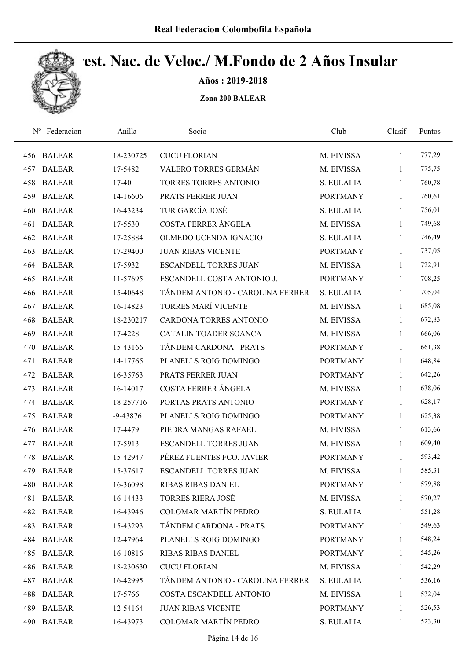

Años : 2019-2018

| $N^{\rm o}$ | Federacion    | Anilla       | Socio                            | Club            | Clasif       | Puntos |
|-------------|---------------|--------------|----------------------------------|-----------------|--------------|--------|
| 456         | <b>BALEAR</b> | 18-230725    | <b>CUCU FLORIAN</b>              | M. EIVISSA      | $\mathbf{1}$ | 777,29 |
| 457         | <b>BALEAR</b> | 17-5482      | VALERO TORRES GERMÁN             | M. EIVISSA      | 1            | 775,75 |
| 458         | <b>BALEAR</b> | 17-40        | TORRES TORRES ANTONIO            | S. EULALIA      | 1            | 760,78 |
| 459         | <b>BALEAR</b> | 14-16606     | PRATS FERRER JUAN                | <b>PORTMANY</b> | $\mathbf{1}$ | 760,61 |
| 460         | <b>BALEAR</b> | 16-43234     | TUR GARCÍA JOSÉ                  | S. EULALIA      | $\mathbf{1}$ | 756,01 |
| 461         | <b>BALEAR</b> | 17-5530      | <b>COSTA FERRER ÁNGELA</b>       | M. EIVISSA      | $\mathbf{1}$ | 749,68 |
| 462         | <b>BALEAR</b> | 17-25884     | OLMEDO UCENDA IGNACIO            | S. EULALIA      | $\mathbf{1}$ | 746,49 |
| 463         | <b>BALEAR</b> | 17-29400     | <b>JUAN RIBAS VICENTE</b>        | <b>PORTMANY</b> | $\mathbf{1}$ | 737,05 |
| 464         | <b>BALEAR</b> | 17-5932      | <b>ESCANDELL TORRES JUAN</b>     | M. EIVISSA      | 1            | 722,91 |
| 465         | <b>BALEAR</b> | 11-57695     | ESCANDELL COSTA ANTONIO J.       | <b>PORTMANY</b> | 1            | 708,25 |
| 466         | <b>BALEAR</b> | 15-40648     | TÁNDEM ANTONIO - CAROLINA FERRER | S. EULALIA      | 1            | 705,04 |
| 467         | <b>BALEAR</b> | 16-14823     | TORRES MARÍ VICENTE              | M. EIVISSA      | $\mathbf{1}$ | 685,08 |
| 468         | <b>BALEAR</b> | 18-230217    | <b>CARDONA TORRES ANTONIO</b>    | M. EIVISSA      | 1            | 672,83 |
| 469         | <b>BALEAR</b> | 17-4228      | CATALIN TOADER SOANCA            | M. EIVISSA      | $\mathbf{1}$ | 666,06 |
| 470         | <b>BALEAR</b> | 15-43166     | TÁNDEM CARDONA - PRATS           | <b>PORTMANY</b> | $\mathbf{1}$ | 661,38 |
| 471         | <b>BALEAR</b> | 14-17765     | PLANELLS ROIG DOMINGO            | <b>PORTMANY</b> | $\mathbf{1}$ | 648,84 |
| 472         | <b>BALEAR</b> | 16-35763     | PRATS FERRER JUAN                | <b>PORTMANY</b> | $\mathbf{1}$ | 642,26 |
| 473         | <b>BALEAR</b> | 16-14017     | COSTA FERRER ÁNGELA              | M. EIVISSA      | $\mathbf{1}$ | 638,06 |
| 474         | <b>BALEAR</b> | 18-257716    | PORTAS PRATS ANTONIO             | <b>PORTMANY</b> | $\mathbf{1}$ | 628,17 |
| 475         | <b>BALEAR</b> | $-9 - 43876$ | PLANELLS ROIG DOMINGO            | <b>PORTMANY</b> | $\mathbf{1}$ | 625,38 |
| 476         | <b>BALEAR</b> | 17-4479      | PIEDRA MANGAS RAFAEL             | M. EIVISSA      | $\mathbf{1}$ | 613,66 |
| 477         | <b>BALEAR</b> | 17-5913      | <b>ESCANDELL TORRES JUAN</b>     | M. EIVISSA      | 1            | 609,40 |
| 478         | <b>BALEAR</b> | 15-42947     | PÉREZ FUENTES FCO. JAVIER        | <b>PORTMANY</b> | $\mathbf{1}$ | 593,42 |
| 479         | <b>BALEAR</b> | 15-37617     | <b>ESCANDELL TORRES JUAN</b>     | M. EIVISSA      | $\mathbf{1}$ | 585,31 |
| 480         | <b>BALEAR</b> | 16-36098     | <b>RIBAS RIBAS DANIEL</b>        | <b>PORTMANY</b> | 1            | 579,88 |
| 481         | <b>BALEAR</b> | 16-14433     | <b>TORRES RIERA JOSÉ</b>         | M. EIVISSA      | 1            | 570,27 |
| 482         | <b>BALEAR</b> | 16-43946     | COLOMAR MARTÍN PEDRO             | S. EULALIA      | 1            | 551,28 |
| 483         | <b>BALEAR</b> | 15-43293     | TÁNDEM CARDONA - PRATS           | <b>PORTMANY</b> | $\mathbf{1}$ | 549,63 |
| 484         | <b>BALEAR</b> | 12-47964     | PLANELLS ROIG DOMINGO            | <b>PORTMANY</b> | 1            | 548,24 |
| 485         | <b>BALEAR</b> | 16-10816     | RIBAS RIBAS DANIEL               | <b>PORTMANY</b> | $\mathbf{1}$ | 545,26 |
| 486         | <b>BALEAR</b> | 18-230630    | <b>CUCU FLORIAN</b>              | M. EIVISSA      | $\mathbf{1}$ | 542,29 |
| 487         | <b>BALEAR</b> | 16-42995     | TÁNDEM ANTONIO - CAROLINA FERRER | S. EULALIA      | $\mathbf{1}$ | 536,16 |
| 488         | <b>BALEAR</b> | 17-5766      | COSTA ESCANDELL ANTONIO          | M. EIVISSA      | $\mathbf{1}$ | 532,04 |
| 489         | <b>BALEAR</b> | 12-54164     | <b>JUAN RIBAS VICENTE</b>        | <b>PORTMANY</b> | $\mathbf{1}$ | 526,53 |
| 490         | <b>BALEAR</b> | 16-43973     | COLOMAR MARTÍN PEDRO             | S. EULALIA      | $\mathbf{1}$ | 523,30 |
|             |               |              |                                  |                 |              |        |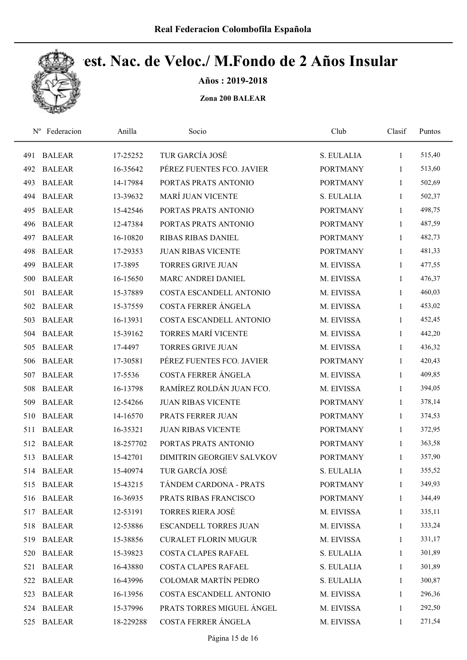

Años : 2019-2018

| $N^{\rm o}$ | Federacion    | Anilla    | Socio                        | Club            | Clasif       | Puntos |
|-------------|---------------|-----------|------------------------------|-----------------|--------------|--------|
| 491         | <b>BALEAR</b> | 17-25252  | TUR GARCÍA JOSÉ              | S. EULALIA      | 1            | 515,40 |
| 492         | <b>BALEAR</b> | 16-35642  | PÉREZ FUENTES FCO. JAVIER    | <b>PORTMANY</b> | 1            | 513,60 |
| 493         | <b>BALEAR</b> | 14-17984  | PORTAS PRATS ANTONIO         | <b>PORTMANY</b> | 1            | 502,69 |
| 494         | <b>BALEAR</b> | 13-39632  | <b>MARÍ JUAN VICENTE</b>     | S. EULALIA      | 1            | 502,37 |
| 495         | <b>BALEAR</b> | 15-42546  | PORTAS PRATS ANTONIO         | <b>PORTMANY</b> | $\mathbf{1}$ | 498,75 |
| 496         | <b>BALEAR</b> | 12-47384  | PORTAS PRATS ANTONIO         | <b>PORTMANY</b> | $\mathbf{1}$ | 487,59 |
| 497         | <b>BALEAR</b> | 16-10820  | <b>RIBAS RIBAS DANIEL</b>    | <b>PORTMANY</b> | $\mathbf{1}$ | 482,73 |
| 498         | <b>BALEAR</b> | 17-29353  | <b>JUAN RIBAS VICENTE</b>    | <b>PORTMANY</b> | 1            | 481,33 |
| 499         | <b>BALEAR</b> | 17-3895   | <b>TORRES GRIVE JUAN</b>     | M. EIVISSA      | 1            | 477,55 |
| 500         | <b>BALEAR</b> | 16-15650  | <b>MARC ANDREI DANIEL</b>    | M. EIVISSA      | 1            | 476,37 |
| 501         | <b>BALEAR</b> | 15-37889  | COSTA ESCANDELL ANTONIO      | M. EIVISSA      | 1            | 460,03 |
| 502         | <b>BALEAR</b> | 15-37559  | <b>COSTA FERRER ÁNGELA</b>   | M. EIVISSA      | 1            | 453,02 |
| 503         | <b>BALEAR</b> | 16-13931  | COSTA ESCANDELL ANTONIO      | M. EIVISSA      | 1            | 452,45 |
| 504         | <b>BALEAR</b> | 15-39162  | <b>TORRES MARÍ VICENTE</b>   | M. EIVISSA      | 1            | 442,20 |
| 505         | <b>BALEAR</b> | 17-4497   | <b>TORRES GRIVE JUAN</b>     | M. EIVISSA      | 1            | 436,32 |
| 506         | <b>BALEAR</b> | 17-30581  | PÉREZ FUENTES FCO. JAVIER    | <b>PORTMANY</b> | $\mathbf{1}$ | 420,43 |
| 507         | <b>BALEAR</b> | 17-5536   | COSTA FERRER ÁNGELA          | M. EIVISSA      | 1            | 409,85 |
| 508         | <b>BALEAR</b> | 16-13798  | RAMÍREZ ROLDÁN JUAN FCO.     | M. EIVISSA      | $\mathbf{1}$ | 394,05 |
| 509         | <b>BALEAR</b> | 12-54266  | <b>JUAN RIBAS VICENTE</b>    | <b>PORTMANY</b> | $\mathbf{1}$ | 378,14 |
| 510         | <b>BALEAR</b> | 14-16570  | PRATS FERRER JUAN            | <b>PORTMANY</b> | $\mathbf{1}$ | 374,53 |
| 511         | <b>BALEAR</b> | 16-35321  | <b>JUAN RIBAS VICENTE</b>    | <b>PORTMANY</b> | 1            | 372,95 |
| 512         | <b>BALEAR</b> | 18-257702 | PORTAS PRATS ANTONIO         | <b>PORTMANY</b> | 1            | 363,58 |
| 513         | <b>BALEAR</b> | 15-42701  | DIMITRIN GEORGIEV SALVKOV    | <b>PORTMANY</b> | 1            | 357,90 |
|             | 514 BALEAR    | 15-40974  | TUR GARCÍA JOSÉ              | S. EULALIA      | $\mathbf{1}$ | 355,52 |
| 515         | <b>BALEAR</b> | 15-43215  | TÁNDEM CARDONA - PRATS       | <b>PORTMANY</b> | 1            | 349,93 |
| 516         | <b>BALEAR</b> | 16-36935  | PRATS RIBAS FRANCISCO        | <b>PORTMANY</b> | $\mathbf{1}$ | 344,49 |
| 517         | <b>BALEAR</b> | 12-53191  | <b>TORRES RIERA JOSÉ</b>     | M. EIVISSA      | 1            | 335,11 |
| 518         | <b>BALEAR</b> | 12-53886  | <b>ESCANDELL TORRES JUAN</b> | M. EIVISSA      | $\mathbf{1}$ | 333,24 |
| 519         | <b>BALEAR</b> | 15-38856  | <b>CURALET FLORIN MUGUR</b>  | M. EIVISSA      | 1            | 331,17 |
| 520         | <b>BALEAR</b> | 15-39823  | COSTA CLAPES RAFAEL          | S. EULALIA      | $\mathbf{1}$ | 301,89 |
| 521         | <b>BALEAR</b> | 16-43880  | COSTA CLAPES RAFAEL          | S. EULALIA      | $\mathbf{1}$ | 301,89 |
| 522         | <b>BALEAR</b> | 16-43996  | <b>COLOMAR MARTÍN PEDRO</b>  | S. EULALIA      | 1            | 300,87 |
| 523         | <b>BALEAR</b> | 16-13956  | COSTA ESCANDELL ANTONIO      | M. EIVISSA      | $\mathbf{1}$ | 296,36 |
|             | 524 BALEAR    | 15-37996  | PRATS TORRES MIGUEL ÁNGEL    | M. EIVISSA      | 1            | 292,50 |
| 525         | <b>BALEAR</b> | 18-229288 | COSTA FERRER ÁNGELA          | M. EIVISSA      | $\mathbf{1}$ | 271,54 |